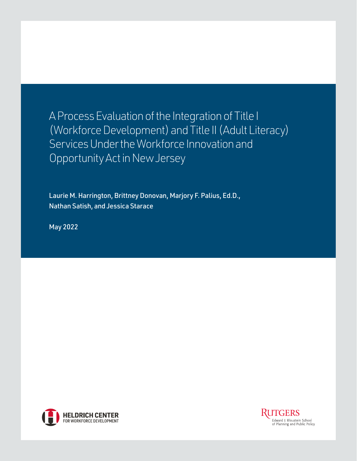A Process Evaluation of the Integration of Title I (Workforce Development) and Title II (Adult Literacy) Services Under the Workforce Innovation and Opportunity Act in New Jersey

Laurie M. Harrington, Brittney Donovan, Marjory F. Palius, Ed.D., Nathan Satish, and Jessica Starace

May 2022



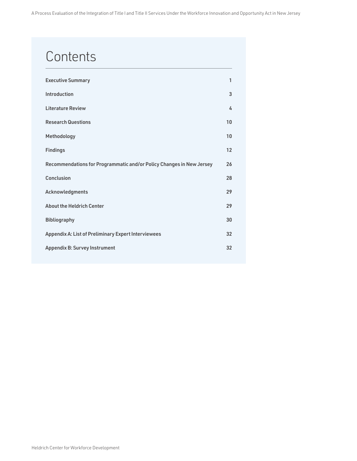# **Contents**

| <b>Executive Summary</b>                                             | 1  |
|----------------------------------------------------------------------|----|
| <b>Introduction</b>                                                  | 3  |
| <b>Literature Review</b>                                             | 4  |
| <b>Research Questions</b>                                            | 10 |
| Methodology                                                          | 10 |
| <b>Findings</b>                                                      | 12 |
| Recommendations for Programmatic and/or Policy Changes in New Jersey | 26 |
| <b>Conclusion</b>                                                    | 28 |
| Acknowledgments                                                      | 29 |
| <b>About the Heldrich Center</b>                                     | 29 |
| <b>Bibliography</b>                                                  | 30 |
| <b>Appendix A: List of Preliminary Expert Interviewees</b>           | 32 |
| <b>Appendix B: Survey Instrument</b>                                 | 32 |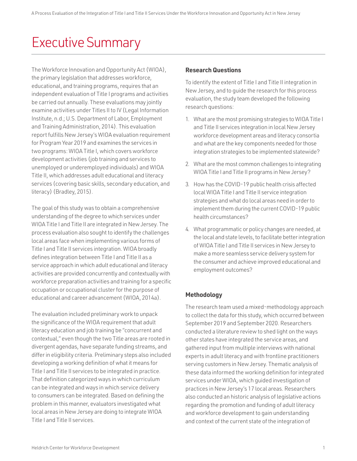# <span id="page-2-0"></span>Executive Summary

The Workforce Innovation and Opportunity Act (WIOA), the primary legislation that addresses workforce, educational, and training programs, requires that an independent evaluation of Title I programs and activities be carried out annually. These evaluations may jointly examine activities under Titles II to IV (Legal Information Institute, n.d.; U.S. Department of Labor, Employment and Training Administration, 2014). This evaluation report fulfills New Jersey's WIOA evaluation requirement for Program Year 2019 and examines the services in two programs: WIOA Title I, which covers workforce development activities (job training and services to unemployed or underemployed individuals) and WIOA Title II, which addresses adult educational and literacy services (covering basic skills, secondary education, and literacy) (Bradley, 2015).

The goal of this study was to obtain a comprehensive understanding of the degree to which services under WIOA Title I and Title II are integrated in New Jersey. The process evaluation also sought to identify the challenges local areas face when implementing various forms of Title I and Title II services integration. WIOA broadly defines integration between Title I and Title II as a service approach in which adult educational and literacy activities are provided concurrently and contextually with workforce preparation activities and training for a specific occupation or occupational cluster for the purpose of educational and career advancement (WIOA, 2014a).

The evaluation included preliminary work to unpack the significance of the WIOA requirement that adult literacy education and job training be "concurrent and contextual," even though the two Title areas are rooted in divergent agendas, have separate funding streams, and differ in eligibility criteria. Preliminary steps also included developing a working definition of what it means for Title I and Title II services to be integrated in practice. That definition categorized ways in which curriculum can be integrated and ways in which service delivery to consumers can be integrated. Based on defining the problem in this manner, evaluators investigated what local areas in New Jersey are doing to integrate WIOA Title I and Title II services.

# **Research Questions**

To identify the extent of Title I and Title II integration in New Jersey, and to guide the research for this process evaluation, the study team developed the following research questions:

- 1. What are the most promising strategies to WIOA Title I and Title II services integration in local New Jersey workforce development areas and literacy consortia and what are the key components needed for those integration strategies to be implemented statewide?
- 2. What are the most common challenges to integrating WIOA Title I and Title II programs in New Jersey?
- 3. How has the COVID-19 public health crisis affected local WIOA Title I and Title II service integration strategies and what do local areas need in order to implement them during the current COVID-19 public health circumstances?
- 4. What programmatic or policy changes are needed, at the local and state levels, to facilitate better integration of WIOA Title I and Title II services in New Jersey to make a more seamless service delivery system for the consumer and achieve improved educational and employment outcomes?

# **Methodology**

The research team used a mixed-methodology approach to collect the data for this study, which occurred between September 2019 and September 2020. Researchers conducted a literature review to shed light on the ways other states have integrated the service areas, and gathered input from multiple interviews with national experts in adult literacy and with frontline practitioners serving customers in New Jersey. Thematic analysis of these data informed the working definition for integrated services under WIOA, which guided investigation of practices in New Jersey's 17 local areas. Researchers also conducted an historic analysis of legislative actions regarding the promotion and funding of adult literacy and workforce development to gain understanding and context of the current state of the integration of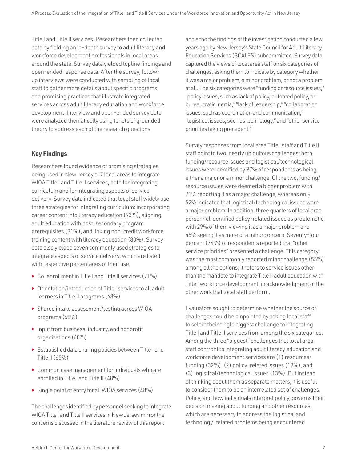Title I and Title II services. Researchers then collected data by fielding an in-depth survey to adult literacy and workforce development professionals in local areas around the state. Survey data yielded topline findings and open-ended response data. After the survey, followup interviews were conducted with sampling of local staff to gather more details about specific programs and promising practices that illustrate integrated services across adult literacy education and workforce development. Interview and open-ended survey data were analyzed thematically using tenets of grounded theory to address each of the research questions.

# **Key Findings**

Researchers found evidence of promising strategies being used in New Jersey's l7 local areas to integrate WIOA Title I and Title II services, both for integrating curriculum and for integrating aspects of service delivery. Survey data indicated that local staff widely use three strategies for integrating curriculum: incorporating career content into literacy education (93%), aligning adult education with post-secondary program prerequisites (91%), and linking non-credit workforce training content with literacy education (80%). Survey data also yielded seven commonly used strategies to integrate aspects of service delivery, which are listed with respective percentages of their use:

- ► Co-enrollment in Title I and Title II services (71%)
- ► Orientation/introduction of Title I services to all adult learners in Title II programs (68%)
- ► Shared intake assessment/testing across WIOA programs (68%)
- ► Input from business, industry, and nonprofit organizations (68%)
- ► Established data sharing policies between Title I and Title II (65%)
- ► Common case management for individuals who are enrolled in Title I and Title II (48%)
- ► Single point of entry for all WIOA services (48%)

The challenges identified by personnel seeking to integrate WIOA Title I and Title II services in New Jersey mirror the concerns discussed in the literature review of this report

and echo the findings of the investigation conducted a few years ago by New Jersey's State Council for Adult Literacy Education Services (SCALES) subcommittee. Survey data captured the views of local area staff on six categories of challenges, asking them to indicate by category whether it was a major problem, a minor problem, or not a problem at all. The six categories were "funding or resource issues," "policy issues, such as lack of policy, outdated policy, or bureaucratic inertia," "lack of leadership," "collaboration issues, such as coordination and communication," "logistical issues, such as technology," and "other service priorities taking precedent."

Survey responses from local area Title I staff and Title II staff point to two, nearly ubiquitous challenges; both funding/resource issues and logistical/technological issues were identified by 97% of respondents as being either a major or a minor challenge. Of the two, funding/ resource issues were deemed a bigger problem with 71% reporting it as a major challenge, whereas only 52% indicated that logistical/technological issues were a major problem. In addition, three quarters of local area personnel identified policy-related issues as problematic, with 29% of them viewing it as a major problem and 45% seeing it as more of a minor concern. Seventy-four percent (74%) of respondents reported that "other service priorities" presented a challenge. This category was the most commonly reported minor challenge (55%) among all the options; it refers to service issues other than the mandate to integrate Title II adult education with Title I workforce development, in acknowledgment of the other work that local staff perform.

Evaluators sought to determine whether the source of challenges could be pinpointed by asking local staff to select their single biggest challenge to integrating Title I and Title II services from among the six categories. Among the three "biggest" challenges that local area staff confront to integrating adult literacy education and workforce development services are (1) resources/ funding (32%), (2) policy-related issues (19%), and (3) logistical/technological issues (13%). But instead of thinking about them as separate matters, it is useful to consider them to be an interrelated set of challenges: Policy, and how individuals interpret policy, governs their decision making about funding and other resources, which are necessary to address the logistical and technology-related problems being encountered.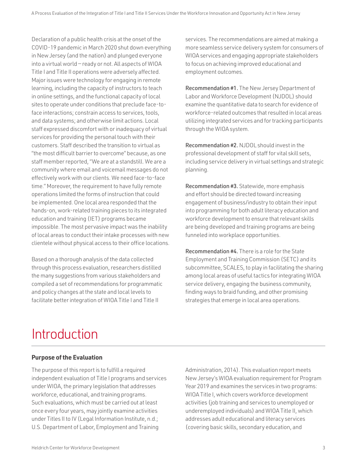<span id="page-4-0"></span>Declaration of a public health crisis at the onset of the COVID-19 pandemic in March 2020 shut down everything in New Jersey (and the nation) and plunged everyone into a virtual world — ready or not. All aspects of WIOA Title I and Title II operations were adversely affected. Major issues were technology for engaging in remote learning, including the capacity of instructors to teach in online settings, and the functional capacity of local sites to operate under conditions that preclude face-toface interactions; constrain access to services, tools, and data systems; and otherwise limit actions. Local staff expressed discomfort with or inadequacy of virtual services for providing the personal touch with their customers. Staff described the transition to virtual as "the most difficult barrier to overcome" because, as one staff member reported, "We are at a standstill. We are a community where email and voicemail messages do not effectively work with our clients. We need face-to-face time." Moreover, the requirement to have fully remote operations limited the forms of instruction that could be implemented. One local area responded that the hands-on, work-related training pieces to its integrated education and training (IET) programs became impossible. The most pervasive impact was the inability of local areas to conduct their intake processes with new clientele without physical access to their office locations.

Based on a thorough analysis of the data collected through this process evaluation, researchers distilled the many suggestions from various stakeholders and compiled a set of recommendations for programmatic and policy changes at the state and local levels to facilitate better integration of WIOA Title I and Title II

services. The recommendations are aimed at making a more seamless service delivery system for consumers of WIOA services and engaging appropriate stakeholders to focus on achieving improved educational and employment outcomes.

Recommendation #1. The New Jersey Department of Labor and Workforce Development (NJDOL) should examine the quantitative data to search for evidence of workforce-related outcomes that resulted in local areas utilizing integrated services and for tracking participants through the WIOA system.

Recommendation #2. NJDOL should invest in the professional development of staff for vital skill sets, including service delivery in virtual settings and strategic planning.

Recommendation #3. Statewide, more emphasis and effort should be directed toward increasing engagement of business/industry to obtain their input into programming for both adult literacy education and workforce development to ensure that relevant skills are being developed and training programs are being funneled into workplace opportunities.

Recommendation #4. There is a role for the State Employment and Training Commission (SETC) and its subcommittee, SCALES, to play in facilitating the sharing among local areas of useful tactics for integrating WIOA service delivery, engaging the business community, finding ways to braid funding, and other promising strategies that emerge in local area operations.

# Introduction

# **Purpose of the Evaluation**

The purpose of this report is to fulfill a required independent evaluation of Title I programs and services under WIOA, the primary legislation that addresses workforce, educational, and training programs. Such evaluations, which must be carried out at least once every four years, may jointly examine activities under Titles II to IV (Legal Information Institute, n.d.; U.S. Department of Labor, Employment and Training

Administration, 2014). This evaluation report meets New Jersey's WIOA evaluation requirement for Program Year 2019 and examines the services in two programs: WIOA Title I, which covers workforce development activities (job training and services to unemployed or underemployed individuals) and WIOA Title II, which addresses adult educational and literacy services (covering basic skills, secondary education, and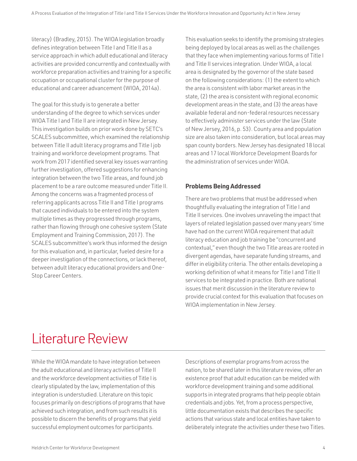<span id="page-5-0"></span>literacy) (Bradley, 2015). The WIOA legislation broadly defines integration between Title I and Title II as a service approach in which adult educational and literacy activities are provided concurrently and contextually with workforce preparation activities and training for a specific occupation or occupational cluster for the purpose of educational and career advancement (WIOA, 2014a).

The goal for this study is to generate a better understanding of the degree to which services under WIOA Title I and Title II are integrated in New Jersey. This investigation builds on prior work done by SETC's SCALES subcommittee, which examined the relationship between Title II adult literacy programs and Title I job training and workforce development programs. That work from 2017 identified several key issues warranting further investigation, offered suggestions for enhancing integration between the two Title areas, and found job placement to be a rare outcome measured under Title II. Among the concerns was a fragmented process of referring applicants across Title II and Title I programs that caused individuals to be entered into the system multiple times as they progressed through programs, rather than flowing through one cohesive system (State Employment and Training Commission, 2017). The SCALES subcommittee's work thus informed the design for this evaluation and, in particular, fueled desire for a deeper investigation of the connections, or lack thereof, between adult literacy educational providers and One-Stop Career Centers.

This evaluation seeks to identify the promising strategies being deployed by local areas as well as the challenges that they face when implementing various forms of Title I and Title II services integration. Under WIOA, a local area is designated by the governor of the state based on the following considerations: (1) the extent to which the area is consistent with labor market areas in the state, (2) the area is consistent with regional economic development areas in the state, and (3) the areas have available federal and non-federal resources necessary to effectively administer services under the law (State of New Jersey, 2016, p. 53). County area and population size are also taken into consideration, but local areas may span county borders. New Jersey has designated 18 local areas and 17 local Workforce Development Boards for the administration of services under WIOA.

# **Problems Being Addressed**

There are two problems that must be addressed when thoughtfully evaluating the integration of Title I and Title II services. One involves unraveling the impact that layers of related legislation passed over many years' time have had on the current WIOA requirement that adult literacy education and job training be "concurrent and contextual," even though the two Title areas are rooted in divergent agendas, have separate funding streams, and differ in eligibility criteria. The other entails developing a working definition of what it means for Title I and Title II services to be integrated in practice. Both are national issues that merit discussion in the literature review to provide crucial context for this evaluation that focuses on WIOA implementation in New Jersey.

# Literature Review

While the WIOA mandate to have integration between the adult educational and literacy activities of Title II and the workforce development activities of Title I is clearly stipulated by the law, implementation of this integration is understudied. Literature on this topic focuses primarily on descriptions of programs that have achieved such integration, and from such results it is possible to discern the benefits of programs that yield successful employment outcomes for participants.

Descriptions of exemplar programs from across the nation, to be shared later in this literature review, offer an existence proof that adult education can be melded with workforce development training and some additional supports in integrated programs that help people obtain credentials and jobs. Yet, from a process perspective, little documentation exists that describes the specific actions that various state and local entities have taken to deliberately integrate the activities under these two Titles.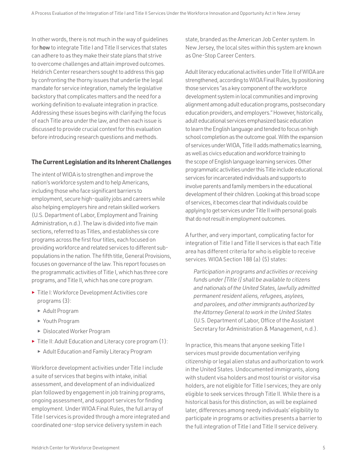In other words, there is not much in the way of guidelines for how to integrate Title I and Title II services that states can adhere to as they make their state plans that strive to overcome challenges and attain improved outcomes. Heldrich Center researchers sought to address this gap by confronting the thorny issues that underlie the legal mandate for service integration, namely the legislative backstory that complicates matters and the need for a working definition to evaluate integration in practice. Addressing these issues begins with clarifying the focus of each Title area under the law, and then each issue is discussed to provide crucial context for this evaluation before introducing research questions and methods.

# **The Current Legislation and its Inherent Challenges**

The intent of WIOA is to strengthen and improve the nation's workforce system and to help Americans, including those who face significant barriers to employment, secure high-quality jobs and careers while also helping employers hire and retain skilled workers (U.S. Department of Labor, Employment and Training Administration, n.d.). The law is divided into five main sections, referred to as Titles, and establishes six core programs across the first four titles, each focused on providing workforce and related services to different subpopulations in the nation. The fifth title, General Provisions, focuses on governance of the law. This report focuses on the programmatic activities of Title I, which has three core programs, and Title II, which has one core program.

- ► Title I: Workforce Development Activities core programs (3):
	- ► Adult Program
	- ► Youth Program
	- ► Dislocated Worker Program
- ► Title II: Adult Education and Literacy core program (1):
	- ► Adult Education and Family Literacy Program

Workforce development activities under Title I include a suite of services that begins with intake, initial assessment, and development of an individualized plan followed by engagement in job training programs, ongoing assessment, and support services for finding employment. Under WIOA Final Rules, the full array of Title I services is provided through a more integrated and coordinated one-stop service delivery system in each

state, branded as the American Job Center system. In New Jersey, the local sites within this system are known as One-Stop Career Centers.

Adult literacy educational activities under Title II of WIOA are strengthened, according to WIOA Final Rules, by positioning those services "as a key component of the workforce development system in local communities and improving alignment among adult education programs, postsecondary education providers, and employers." However, historically, adult educational services emphasized basic education to learn the English language and tended to focus on high school completion as the outcome goal. With the expansion of services under WIOA, Title II adds mathematics learning, as well as civics education and workforce training to the scope of English language learning services. Other programmatic activities under this Title include educational services for incarcerated individuals and supports to involve parents and family members in the educational development of their children. Looking at this broad scope of services, it becomes clear that individuals could be applying to get services under Title II with personal goals that do not result in employment outcomes.

A further, and very important, complicating factor for integration of Title I and Title II services is that each Title area has different criteria for who is eligible to receive services. WIOA Section 188 (a) (5) states:

*Participation in programs and activities or receiving funds under [Title I] shall be available to citizens and nationals of the United States, lawfully admitted permanent resident aliens, refugees, asylees, and parolees, and other immigrants authorized by the Attorney General to work in the United States*  (U.S. Department of Labor, Office of the Assistant Secretary for Administration & Management, n.d.).

In practice, this means that anyone seeking Title I services must provide documentation verifying citizenship or legal alien status and authorization to work in the United States. Undocumented immigrants, along with student visa holders and most tourist or visitor visa holders, are not eligible for Title I services; they are only eligible to seek services through Title II. While there is a historical basis for this distinction, as will be explained later, differences among needy individuals' eligibility to participate in programs or activities presents a barrier to the full integration of Title I and Title II service delivery.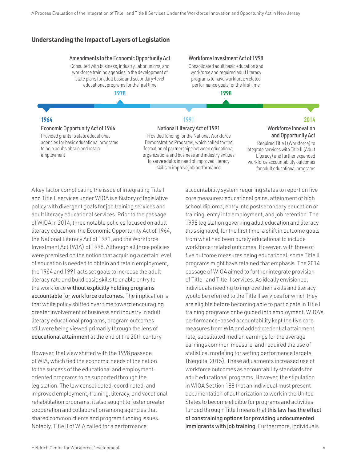# **Understanding the Impact of Layers of Legislation**

## Amendments to the Economic Opportunity Act

Consulted with business, industry, labor unions, and workforce training agencies in the development of state plans for adult basic and secondary-level educational programs for the first time

1978

# Workforce Investment Act of 1998

Consolidated adult basic education and workforce and required adult literacy programs to have workforce-related performance goals for the first time

1998

#### 1964 j

## **Economic Opportunity Act of 1964**

Provided grants to state educational agencies for basic educational programs to help adults obtain and retain employment

# 1991 **National Literacy Act of 1991**

Provided funding for the National Workforce Demonstration Programs, which called for the formation of partnerships between educational organizations and business and industry entities to serve adults in need of improved literacy skills to improve job performance

# 2014

# **Workforce Innovation** and Opportunity Act

Required Title I (Workforce) to integrate services with Title II (Adult Literacy) and further expanded workforce accountability outcomes for adult educational programs

A key factor complicating the issue of integrating Title I and Title II services under WIOA is a history of legislative policy with divergent goals for job training services and adult literacy educational services. Prior to the passage of WIOA in 2014, three notable policies focused on adult literacy education: the Economic Opportunity Act of 1964, the National Literacy Act of 1991, and the Workforce Investment Act (WIA) of 1998. Although all three policies were premised on the notion that acquiring a certain level of education is needed to obtain and retain employment, the 1964 and 1991 acts set goals to increase the adult literacy rate and build basic skills to enable entry to the workforce without explicitly holding programs accountable for workforce outcomes. The implication is that while policy shifted over time toward encouraging greater involvement of business and industry in adult literacy educational programs, program outcomes still were being viewed primarily through the lens of educational attainment at the end of the 20th century.

However, that view shifted with the 1998 passage of WIA, which tied the economic needs of the nation to the success of the educational and employmentoriented programs to be supported through the legislation. The law consolidated, coordinated, and improved employment, training, literacy, and vocational rehabilitation programs; it also sought to foster greater cooperation and collaboration among agencies that shared common clients and program funding issues. Notably, Title II of WIA called for a performance

accountability system requiring states to report on five core measures: educational gains, attainment of high school diploma, entry into postsecondary education or training, entry into employment, and job retention. The 1998 legislation governing adult education and literacy thus signaled, for the first time, a shift in outcome goals from what had been purely educational to include workforce-related outcomes. However, with three of five outcome measures being educational, some Title II programs might have retained that emphasis. The 2014 passage of WIOA aimed to further integrate provision of Title I and Title II services. As ideally envisioned, individuals needing to improve their skills and literacy would be referred to the Title II services for which they are eligible before becoming able to participate in Title I training programs or be guided into employment. WIOA's performance-based accountability kept the five core measures from WIA and added credential attainment rate, substituted median earnings for the average earnings common measure, and required the use of statistical modeling for setting performance targets (Negoita, 2015). These adjustments increased use of workforce outcomes as accountability standards for adult educational programs. However, the stipulation in WIOA Section 188 that an individual must present documentation of authorization to work in the United States to become eligible for programs and activities funded through Title I means that this law has the effect of constraining options for providing undocumented immigrants with job training. Furthermore, individuals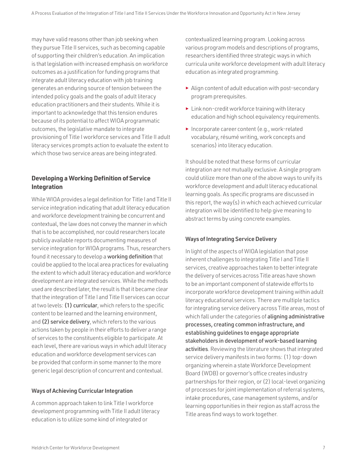may have valid reasons other than job seeking when they pursue Title II services, such as becoming capable of supporting their children's education. An implication is that legislation with increased emphasis on workforce outcomes as a justification for funding programs that integrate adult literacy education with job training generates an enduring source of tension between the intended policy goals and the goals of adult literacy education practitioners and their students. While it is important to acknowledge that this tension endures because of its potential to affect WIOA programmatic outcomes, the legislative mandate to integrate provisioning of Title I workforce services and Title II adult literacy services prompts action to evaluate the extent to which those two service areas are being integrated.

# **Developing a Working Definition of Service Integration**

While WIOA provides a legal definition for Title I and Title II service integration indicating that adult literacy education and workforce development training be concurrent and contextual, the law does not convey the manner in which that is to be accomplished, nor could researchers locate publicly available reports documenting measures of service integration for WIOA programs. Thus, researchers found it necessary to develop a working definition that could be applied to the local area practices for evaluating the extent to which adult literacy education and workforce development are integrated services. While the methods used are described later, the result is that it became clear that the integration of Title I and Title II services can occur at two levels: (1) curricular, which refers to the specific content to be learned and the learning environment, and (2) service delivery, which refers to the various actions taken by people in their efforts to deliver a range of services to the constituents eligible to participate. At each level, there are various ways in which adult literacy education and workforce development services can be provided that conform in some manner to the more generic legal description of concurrent and contextual.

# Ways of Achieving Curricular Integration

A common approach taken to link Title I workforce development programming with Title II adult literacy education is to utilize some kind of integrated or

contextualized learning program. Looking across various program models and descriptions of programs, researchers identified three strategic ways in which curricula unite workforce development with adult literacy education as integrated programming.

- ► Align content of adult education with post-secondary program prerequisites.
- ► Link non-credit workforce training with literacy education and high school equivalency requirements.
- ► Incorporate career content (e.g., work-related vocabulary, résumé writing, work concepts and scenarios) into literacy education.

It should be noted that these forms of curricular integration are not mutually exclusive. A single program could utilize more than one of the above ways to unify its workforce development and adult literacy educational learning goals. As specific programs are discussed in this report, the way(s) in which each achieved curricular integration will be identified to help give meaning to abstract terms by using concrete examples.

# Ways of Integrating Service Delivery

In light of the aspects of WIOA legislation that pose inherent challenges to integrating Title I and Title II services, creative approaches taken to better integrate the delivery of services across Title areas have shown to be an important component of statewide efforts to incorporate workforce development training within adult literacy educational services. There are multiple tactics for integrating service delivery across Title areas, most of which fall under the categories of aligning administrative processes, creating common infrastructure, and establishing guidelines to engage appropriate stakeholders in development of work-based learning activities. Reviewing the literature shows that integrated service delivery manifests in two forms: (1) top-down organizing wherein a state Workforce Development Board (WDB) or governor's office creates industry partnerships for their region, or (2) local-level organizing of processes for joint implementation of referral systems, intake procedures, case management systems, and/or learning opportunities in their region as staff across the Title areas find ways to work together.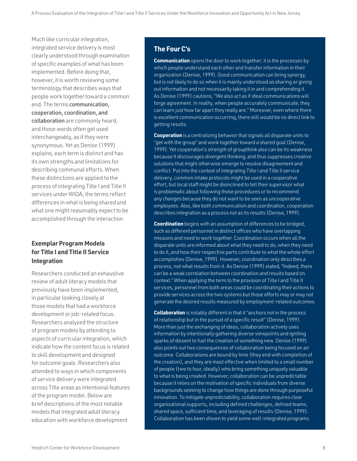Much like curricular integration, integrated service delivery is most clearly understood through examination of specific examples of what has been implemented. Before doing that, however, it is worth reviewing some terminology that describes ways that people work together toward a common end. The terms communication, cooperation, coordination, and collaboration are commonly heard, and those words often get used interchangeably, as if they were synonymous. Yet as Denise (1999) explains, each term is distinct and has its own strengths and limitations for describing communal efforts. When these distinctions are applied to the process of integrating Title I and Title II services under WIOA, the terms reflect differences in what is being shared and what one might reasonably expect to be accomplished through the interaction.

# **Exemplar Program Models for Title I and Title II Service Integration**

Researchers conducted an exhaustive review of adult literacy models that previously have been implemented, in particular looking closely at those models that had a workforce development or job-related focus. Researchers analyzed the structure of program models by attending to aspects of curricular integration, which indicate how the content focus is related to skill development and designed for outcome goals. Researchers also attended to ways in which components of service delivery were integrated across Title areas as intentional features of the program model. Below are brief descriptions of the most notable models that integrated adult literacy education with workforce development

# **The Four C's**

**Communication** opens the door to work together; it is the processes by which people understand each other and transfer information in their organization (Denise, 1999). Good communication can bring synergy, but is not likely to do so when it is mainly understood as sharing or giving out information and not necessarily taking it in and comprehending it. As Denise (1999) cautions, "We also act as if ideal communications will forge agreement. In reality, when people accurately communicate, they can learn just how far apart they really are." Moreover, even where there is excellent communication occurring, there still would be no direct link to getting results.

**Cooperation** is a centralizing behavior that signals all disparate units to "get with the group" and work together toward a shared goal (Denise, 1999). Yet cooperation's strength of groupthink also can be its weakness because it discourages divergent thinking, and thus suppresses creative solutions that might otherwise emerge to resolve disagreement and conflict. Put into the context of integrating Title I and Title II service delivery, common intake protocols might be used in a cooperative effort, but local staff might be disinclined to tell their supervisor what is problematic about following those procedures or to recommend any changes because they do not want to be seen as uncooperative employees. Also, like both communication and coordination, cooperation describes integration as a process not as its results (Denise, 1999).

**Coordination** begins with an assumption of differences to be bridged, such as different personnel in distinct offices who have overlapping missions and need to work together. Coordination occurs when all the disparate units are informed about what they need to do, when they need to do it, and how their respective parts contribute to what the whole effort accomplishes (Denise, 1999). However, coordination only describes a process, not what results from it. As Denise (1999) stated, "Indeed, there can be a weak correlation between coordination and results based on context." When applying the term to the provision of Title I and Title II services, personnel from both areas could be coordinating their actions to provide services across the two systems but those efforts may or may not generate the desired results measured by employment-related outcomes.

**Collaboration** is notably different in that it "anchors not in the process of relationship but in the pursuit of a specific result" (Denise, 1999). More than just the exchanging of ideas, collaboration actively uses information by intentionally gathering diverse viewpoints and igniting sparks of dissent to fuel the creation of something new. Denise (1999) also points out two consequences of collaboration being focused on an outcome. Collaborations are bound by time (they end with completion of the creation), and they are most effective when limited to a small number of people (two to four, ideally) who bring something uniquely valuable to what is being created. However, collaboration can be unpredictable because it relies on the motivation of specific individuals from diverse backgrounds seeking to change how things are done through purposeful innovation. To mitigate unpredictability, collaboration requires clear organizational supports, including defined challenges, defined teams, shared space, sufficient time, and leveraging of results (Denise, 1999). Collaboration has been shown to yield some well-integrated programs.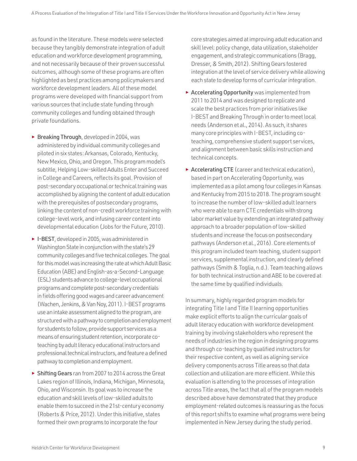as found in the literature. These models were selected because they tangibly demonstrate integration of adult education and workforce development programming, and not necessarily because of their proven successful outcomes, although some of these programs are often highlighted as best practices among policymakers and workforce development leaders. All of these model programs were developed with financial support from various sources that include state funding through community colleges and funding obtained through private foundations.

- ► Breaking Through, developed in 2004, was administered by individual community colleges and piloted in six states: Arkansas, Colorado, Kentucky, New Mexico, Ohio, and Oregon. This program model's subtitle, Helping Low-skilled Adults Enter and Succeed in College and Careers, reflects its goal. Provision of post-secondary occupational or technical training was accomplished by aligning the content of adult education with the prerequisites of postsecondary programs, linking the content of non-credit workforce training with college-level work, and infusing career content into developmental education (Jobs for the Future, 2010).
- ► I-BEST , developed in 2005, was administered in Washington State in conjunction with the state's 29 community colleges and five technical colleges. The goal for this model was increasing the rate at which Adult Basic Education (ABE) and English-as-a-Second-Language (ESL) students advance to college-level occupational programs and complete post-secondary credentials in fields offering good wages and career advancement (Wachen, Jenkins, & Van Noy, 2011). I-BEST programs use an intake assessment aligned to the program, are structured with a pathway to completion and employment for students to follow, provide support services as a means of ensuring student retention, incorporate coteaching by adult literacy educational instructors and professional technical instructors, and feature a defined pathway to completion and employment.
- ► Shifting Gears ran from 2007 to 2014 across the Great Lakes region of Illinois, Indiana, Michigan, Minnesota, Ohio, and Wisconsin. Its goal was to increase the education and skill levels of low-skilled adults to enable them to succeed in the 21st-century economy (Roberts & Price, 2012). Under this initiative, states formed their own programs to incorporate the four

core strategies aimed at improving adult education and skill level: policy change, data utilization, stakeholder engagement, and strategic communications (Bragg, Dresser, & Smith, 2012). Shifting Gears fostered integration at the level of service delivery while allowing each state to develop forms of curricular integration.

- ► Accelerating Opportunity was implemented from 2011 to 2014 and was designed to replicate and scale the best practices from prior initiatives like I-BEST and Breaking Through in order to meet local needs (Anderson et al., 2014). As such, it shares many core principles with I-BEST, including coteaching, comprehensive student support services, and alignment between basic skills instruction and technical concepts.
- $\triangleright$  Accelerating CTE (career and technical education), based in part on Accelerating Opportunity, was implemented as a pilot among four colleges in Kansas and Kentucky from 2015 to 2018. The program sought to increase the number of low-skilled adult learners who were able to earn CTE credentials with strong labor market value by extending an integrated pathway approach to a broader population of low-skilled students and increase the focus on postsecondary pathways (Anderson et al., 2016). Core elements of this program included team teaching, student support services, supplemental instruction, and clearly defined pathways (Smith & Toglia, n.d.). Team teaching allows for both technical instruction and ABE to be covered at the same time by qualified individuals.

In summary, highly regarded program models for integrating Title I and Title II learning opportunities make explicit efforts to align the curricular goals of adult literacy education with workforce development training by involving stakeholders who represent the needs of industries in the region in designing programs and through co-teaching by qualified instructors for their respective content, as well as aligning service delivery components across Title areas so that data collection and utilization are more efficient. While this evaluation is attending to the processes of integration across Title areas, the fact that all of the program models described above have demonstrated that they produce employment-related outcomes is reassuring as the focus of this report shifts to examine what programs were being implemented in New Jersey during the study period.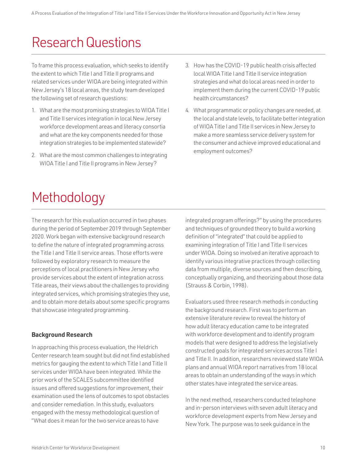# <span id="page-11-0"></span>Research Questions

To frame this process evaluation, which seeks to identify the extent to which Title I and Title II programs and related services under WIOA are being integrated within New Jersey's 18 local areas, the study team developed the following set of research questions:

- 1. What are the most promising strategies to WIOA Title I and Title II services integration in local New Jersey workforce development areas and literacy consortia and what are the key components needed for those integration strategies to be implemented statewide?
- 2. What are the most common challenges to integrating WIOA Title I and Title II programs in New Jersey?
- 3. How has the COVID-19 public health crisis affected local WIOA Title I and Title II service integration strategies and what do local areas need in order to implement them during the current COVID-19 public health circumstances?
- 4. What programmatic or policy changes are needed, at the local and state levels, to facilitate better integration of WIOA Title I and Title II services in New Jersey to make a more seamless service delivery system for the consumer and achieve improved educational and employment outcomes?

# Methodology

The research for this evaluation occurred in two phases during the period of September 2019 through September 2020. Work began with extensive background research to define the nature of integrated programming across the Title I and Title II service areas. Those efforts were followed by exploratory research to measure the perceptions of local practitioners in New Jersey who provide services about the extent of integration across Title areas, their views about the challenges to providing integrated services, which promising strategies they use, and to obtain more details about some specific programs that showcase integrated programming.

# **Background Research**

In approaching this process evaluation, the Heldrich Center research team sought but did not find established metrics for gauging the extent to which Title I and Title II services under WIOA have been integrated. While the prior work of the SCALES subcommittee identified issues and offered suggestions for improvement, their examination used the lens of outcomes to spot obstacles and consider remediation. In this study, evaluators engaged with the messy methodological question of "What does it mean for the two service areas to have

integrated program offerings?" by using the procedures and techniques of grounded theory to build a working definition of "integrated" that could be applied to examining integration of Title I and Title II services under WIOA. Doing so involved an iterative approach to identify various integrative practices through collecting data from multiple, diverse sources and then describing, conceptually organizing, and theorizing about those data (Strauss & Corbin, 1998).

Evaluators used three research methods in conducting the background research. First was to perform an extensive literature review to reveal the history of how adult literacy education came to be integrated with workforce development and to identify program models that were designed to address the legislatively constructed goals for integrated services across Title I and Title II. In addition, researchers reviewed state WIOA plans and annual WIOA report narratives from 18 local areas to obtain an understanding of the ways in which other states have integrated the service areas.

In the next method, researchers conducted telephone and in-person interviews with seven adult literacy and workforce development experts from New Jersey and New York. The purpose was to seek guidance in the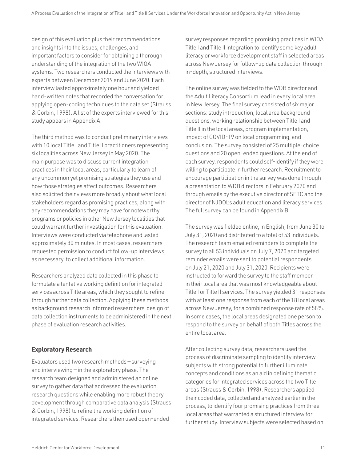design of this evaluation plus their recommendations and insights into the issues, challenges, and important factors to consider for obtaining a thorough understanding of the integration of the two WIOA systems. Two researchers conducted the interviews with experts between December 2019 and June 2020. Each interview lasted approximately one hour and yielded hand-written notes that recorded the conversation for applying open-coding techniques to the data set (Strauss & Corbin, 1998). A list of the experts interviewed for this study appears in Appendix A.

The third method was to conduct preliminary interviews with 10 local Title I and Title II practitioners representing six localities across New Jersey in May 2020. The main purpose was to discuss current integration practices in their local areas, particularly to learn of any uncommon yet promising strategies they use and how those strategies affect outcomes. Researchers also solicited their views more broadly about what local stakeholders regard as promising practices, along with any recommendations they may have for noteworthy programs or policies in other New Jersey localities that could warrant further investigation for this evaluation. Interviews were conducted via telephone and lasted approximately 30 minutes. In most cases, researchers requested permission to conduct follow-up interviews, as necessary, to collect additional information.

Researchers analyzed data collected in this phase to formulate a tentative working definition for integrated services across Title areas, which they sought to refine through further data collection. Applying these methods as background research informed researchers' design of data collection instruments to be administered in the next phase of evaluation research activities.

# **Exploratory Research**

Evaluators used two research methods — surveying and interviewing  $-$  in the exploratory phase. The research team designed and administered an online survey to gather data that addressed the evaluation research questions while enabling more robust theory development through comparative data analysis (Strauss & Corbin, 1998) to refine the working definition of integrated services. Researchers then used open-ended

survey responses regarding promising practices in WIOA Title I and Title II integration to identify some key adult literacy or workforce development staff in selected areas across New Jersey for follow-up data collection through in-depth, structured interviews.

The online survey was fielded to the WDB director and the Adult Literacy Consortium lead in every local area in New Jersey. The final survey consisted of six major sections: study introduction, local area background questions, working relationship between Title I and Title II in the local areas, program implementation, impact of COVID-19 on local programming, and conclusion. The survey consisted of 25 multiple-choice questions and 20 open-ended questions. At the end of each survey, respondents could self-identify if they were willing to participate in further research. Recruitment to encourage participation in the survey was done through a presentation to WDB directors in February 2020 and through emails by the executive director of SETC and the director of NJDOL's adult education and literacy services. The full survey can be found in Appendix B.

The survey was fielded online, in English, from June 30 to July 31, 2020 and distributed to a total of 53 individuals. The research team emailed reminders to complete the survey to all 53 individuals on July 7, 2020 and targeted reminder emails were sent to potential respondents on July 21, 2020 and July 31, 2020. Recipients were instructed to forward the survey to the staff member in their local area that was most knowledgeable about Title I or Title II services. The survey yielded 31 responses with at least one response from each of the 18 local areas across New Jersey, for a combined response rate of 58%. In some cases, the local areas designated one person to respond to the survey on behalf of both Titles across the entire local area.

After collecting survey data, researchers used the process of discriminate sampling to identify interview subjects with strong potential to further illuminate concepts and conditions as an aid in defining thematic categories for integrated services across the two Title areas (Strauss & Corbin, 1998). Researchers applied their coded data, collected and analyzed earlier in the process, to identify four promising practices from three local areas that warranted a structured interview for further study. Interview subjects were selected based on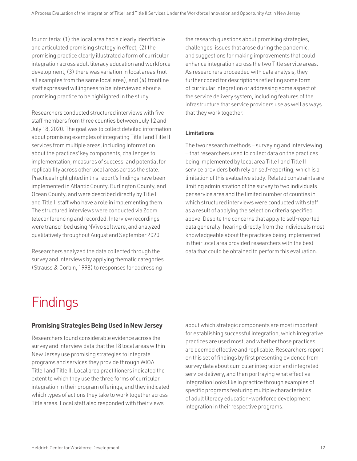<span id="page-13-0"></span>four criteria: (1) the local area had a clearly identifiable and articulated promising strategy in effect, (2) the promising practice clearly illustrated a form of curricular integration across adult literacy education and workforce development, (3) there was variation in local areas (not all examples from the same local area), and (4) frontline staff expressed willingness to be interviewed about a promising practice to be highlighted in the study.

Researchers conducted structured interviews with five staff members from three counties between July 12 and July 18, 2020. The goal was to collect detailed information about promising examples of integrating Title I and Title II services from multiple areas, including information about the practices' key components, challenges to implementation, measures of success, and potential for replicability across other local areas across the state. Practices highlighted in this report's findings have been implemented in Atlantic County, Burlington County, and Ocean County, and were described directly by Title I and Title II staff who have a role in implementing them. The structured interviews were conducted via Zoom teleconferencing and recorded. Interview recordings were transcribed using NVivo software, and analyzed qualitatively throughout August and September 2020.

Researchers analyzed the data collected through the survey and interviews by applying thematic categories (Strauss & Corbin, 1998) to responses for addressing

the research questions about promising strategies, challenges, issues that arose during the pandemic, and suggestions for making improvements that could enhance integration across the two Title service areas. As researchers proceeded with data analysis, they further coded for descriptions reflecting some form of curricular integration or addressing some aspect of the service delivery system, including features of the infrastructure that service providers use as well as ways that they work together.

# Limitations

The two research methods — surveying and interviewing — that researchers used to collect data on the practices being implemented by local area Title I and Title II service providers both rely on self-reporting, which is a limitation of this evaluative study. Related constraints are limiting administration of the survey to two individuals per service area and the limited number of counties in which structured interviews were conducted with staff as a result of applying the selection criteria specified above. Despite the concerns that apply to self-reported data generally, hearing directly from the individuals most knowledgeable about the practices being implemented in their local area provided researchers with the best data that could be obtained to perform this evaluation.

# Findings

# **Promising Strategies Being Used in New Jersey**

Researchers found considerable evidence across the survey and interview data that the 18 local areas within New Jersey use promising strategies to integrate programs and services they provide through WIOA Title I and Title II. Local area practitioners indicated the extent to which they use the three forms of curricular integration in their program offerings, and they indicated which types of actions they take to work together across Title areas. Local staff also responded with their views

about which strategic components are most important for establishing successful integration, which integrative practices are used most, and whether those practices are deemed effective and replicable. Researchers report on this set of findings by first presenting evidence from survey data about curricular integration and integrated service delivery, and then portraying what effective integration looks like in practice through examples of specific programs featuring multiple characteristics of adult literacy education-workforce development integration in their respective programs.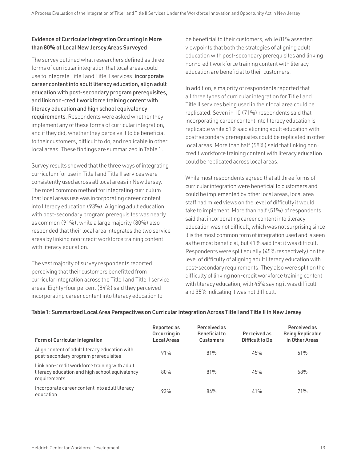# Evidence of Curricular Integration Occurring in More than 80% of Local New Jersey Areas Surveyed

The survey outlined what researchers defined as three forms of curricular integration that local areas could use to integrate Title I and Title II services: incorporate career content into adult literacy education, align adult education with post-secondary program prerequisites, and link non-credit workforce training content with literacy education and high school equivalency requirements. Respondents were asked whether they implement any of these forms of curricular integration, and if they did, whether they perceive it to be beneficial to their customers, difficult to do, and replicable in other local areas. These findings are summarized in Table 1.

Survey results showed that the three ways of integrating curriculum for use in Title I and Title II services were consistently used across all local areas in New Jersey. The most common method for integrating curriculum that local areas use was incorporating career content into literacy education (93%). Aligning adult education with post-secondary program prerequisites was nearly as common (91%), while a large majority (80%) also responded that their local area integrates the two service areas by linking non-credit workforce training content with literacy education.

The vast majority of survey respondents reported perceiving that their customers benefitted from curricular integration across the Title I and Title II service areas. Eighty-four percent (84%) said they perceived incorporating career content into literacy education to

be beneficial to their customers, while 81% asserted viewpoints that both the strategies of aligning adult education with post-secondary prerequisites and linking non-credit workforce training content with literacy education are beneficial to their customers.

In addition, a majority of respondents reported that all three types of curricular integration for Title I and Title II services being used in their local area could be replicated. Seven in 10 (71%) respondents said that incorporating career content into literacy education is replicable while 61% said aligning adult education with post-secondary prerequisites could be replicated in other local areas. More than half (58%) said that linking noncredit workforce training content with literacy education could be replicated across local areas.

While most respondents agreed that all three forms of curricular integration were beneficial to customers and could be implemented by other local areas, local area staff had mixed views on the level of difficulty it would take to implement. More than half (51%) of respondents said that incorporating career content into literacy education was not difficult, which was not surprising since it is the most common form of integration used and is seen as the most beneficial, but 41% said that it was difficult. Respondents were split equally (45% respectively) on the level of difficulty of aligning adult literacy education with post-secondary requirements. They also were split on the difficulty of linking non-credit workforce training content with literacy education, with 45% saying it was difficult and 35% indicating it was not difficult.

| <b>Form of Curricular Integration</b>                                                                           | Reported as<br>Occurring in<br><b>Local Areas</b> | Perceived as<br><b>Beneficial to</b><br><b>Customers</b> | Perceived as<br>Difficult to Do | Perceived as<br><b>Being Replicable</b><br>in Other Areas |
|-----------------------------------------------------------------------------------------------------------------|---------------------------------------------------|----------------------------------------------------------|---------------------------------|-----------------------------------------------------------|
| Align content of adult literacy education with<br>post-secondary program prerequisites                          | 91%                                               | 81%                                                      | 45%                             | 61%                                                       |
| Link non-credit workforce training with adult<br>literacy education and high school equivalency<br>requirements | 80%                                               | 81%                                                      | 45%                             | 58%                                                       |
| Incorporate career content into adult literacy<br>education                                                     | 93%                                               | 84%                                                      | 41%                             | 71%                                                       |

# Table 1: Summarized Local Area Perspectives on Curricular Integration Across Title I and Title II in New Jersey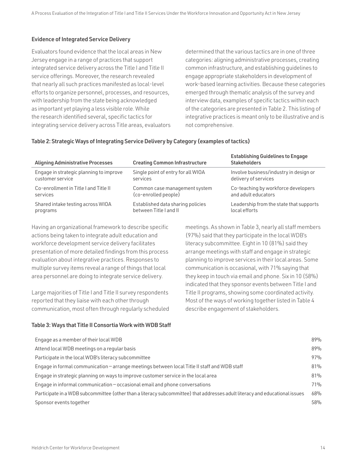# Evidence of Integrated Service Delivery

Evaluators found evidence that the local areas in New Jersey engage in a range of practices that support integrated service delivery across the Title I and Title II service offerings. Moreover, the research revealed that nearly all such practices manifested as local-level efforts to organize personnel, processes, and resources, with leadership from the state being acknowledged as important yet playing a less visible role. While the research identified several, specific tactics for integrating service delivery across Title areas, evaluators determined that the various tactics are in one of three categories: aligning administrative processes, creating common infrastructure, and establishing guidelines to engage appropriate stakeholders in development of work-based learning activities. Because these categories emerged through thematic analysis of the survey and interview data, examples of specific tactics within each of the categories are presented in Table 2. This listing of integrative practices is meant only to be illustrative and is not comprehensive.

# Table 2: Strategic Ways of Integrating Service Delivery by Category (examples of tactics)

| <b>Aligning Administrative Processes</b> | <b>Creating Common Infrastructure</b> | <b>Establishing Guidelines to Engage</b><br><b>Stakeholders</b> |
|------------------------------------------|---------------------------------------|-----------------------------------------------------------------|
| Engage in strategic planning to improve  | Single point of entry for all WIOA    | Involve business/industry in design or                          |
| customer service                         | services                              | delivery of services                                            |
| Co-enrollment in Title I and Title II    | Common case management system         | Co-teaching by workforce developers                             |
| services                                 | (co-enrolled people)                  | and adult educators                                             |
| Shared intake testing across WIOA        | Established data sharing policies     | Leadership from the state that supports                         |
| programs                                 | between Title I and II                | local efforts                                                   |

Having an organizational framework to describe specific actions being taken to integrate adult education and workforce development service delivery facilitates presentation of more detailed findings from this process evaluation about integrative practices. Responses to multiple survey items reveal a range of things that local area personnel are doing to integrate service delivery.

Large majorities of Title I and Title II survey respondents reported that they liaise with each other through communication, most often through regularly scheduled

# Table 3: Ways that Title II Consortia Work with WDB Staff

meetings. As shown in Table 3, nearly all staff members (97%) said that they participate in the local WDB's literacy subcommittee. Eight in 10 (81%) said they arrange meetings with staff and engage in strategic planning to improve services in their local areas. Some communication is occasional, with 71% saying that they keep in touch via email and phone. Six in 10 (58%) indicated that they sponsor events between Title I and Title II programs, showing some coordinated activity. Most of the ways of working together listed in Table 4 describe engagement of stakeholders.

| Engage as a member of their local WDB                                                                                       | 89% |
|-----------------------------------------------------------------------------------------------------------------------------|-----|
| Attend local WDB meetings on a regular basis                                                                                | 89% |
| Participate in the local WDB's literacy subcommittee                                                                        | 97% |
| Engage in formal communication – arrange meetings between local Title II staff and WDB staff                                | 81% |
| Engage in strategic planning on ways to improve customer service in the local area                                          | 81% |
| Engage in informal communication - occasional email and phone conversations                                                 | 71% |
| Participate in a WDB subcommittee (other than a literacy subcommittee) that addresses adult literacy and educational issues | 68% |
| Sponsor events together                                                                                                     | 58% |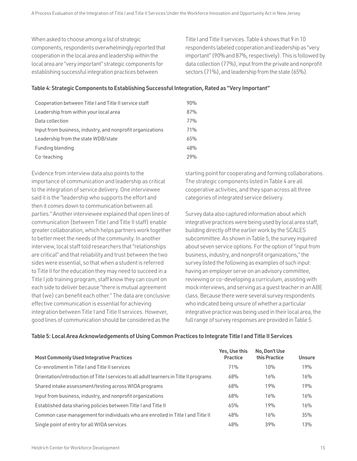When asked to choose among a list of strategic components, respondents overwhelmingly reported that cooperation in the local area and leadership within the local area are "very important" strategic components for establishing successful integration practices between

Title I and Title II services. Table 4 shows that 9 in 10 respondents labeled cooperation and leadership as "very important" (90% and 87%, respectively). This is followed by data collection (77%), input from the private and nonprofit sectors (71%), and leadership from the state (65%).

# Table 4: Strategic Components to Establishing Successful Integration, Rated as "Very Important"

| Cooperation between Title I and Title II service staff     | 90% |
|------------------------------------------------------------|-----|
| Leadership from within your local area                     | 87% |
| Data collection                                            | 77% |
| Input from business, industry, and nonprofit organizations | 71% |
| Leadership from the state WDB/state                        | 65% |
| Funding blending                                           | 48% |
| Co-teaching                                                | 79% |

Evidence from interview data also points to the importance of communication and leadership as critical to the integration of service delivery. One interviewee said it is the "leadership who supports the effort and then it comes down to communication between all parties." Another interviewee explained that open lines of communication (between Title I and Title II staff) enable greater collaboration, which helps partners work together to better meet the needs of the community. In another interview, local staff told researchers that "relationships are critical" and that reliability and trust between the two sides were essential, so that when a student is referred to Title II for the education they may need to succeed in a Title I job training program, staff know they can count on each side to deliver because "there is mutual agreement that (we) can benefit each other." The data are conclusive: effective communication is essential for achieving integration between Title I and Title II services. However, good lines of communication should be considered as the

starting point for cooperating and forming collaborations. The strategic components listed in Table 4 are all cooperative activities, and they span across all three categories of integrated service delivery.

Survey data also captured information about which integrative practices were being used by local area staff, building directly off the earlier work by the SCALES subcommittee. As shown in Table 5, the survey inquired about seven service options. For the option of "input from business, industry, and nonprofit organizations," the survey listed the following as examples of such input: having an employer serve on an advisory committee, reviewing or co-developing a curriculum, assisting with mock interviews, and serving as a guest teacher in an ABE class. Because there were several survey respondents who indicated being unsure of whether a particular integrative practice was being used in their local area, the full range of survey responses are provided in Table 5.

# Table 5: Local Area Acknowledgements of Using Common Practices to Integrate Title I and Title II Services

| <b>Most Commonly Used Integrative Practices</b>                                         | Yes, Use this<br><b>Practice</b> | No, Don't Use<br>this Practice | <b>Unsure</b> |
|-----------------------------------------------------------------------------------------|----------------------------------|--------------------------------|---------------|
| Co-enrollment in Title I and Title II services                                          | 71%                              | 10%                            | 19%           |
| Orientation/introduction of Title I services to all adult learners in Title II programs | 68%                              | 16%                            | 16%           |
| Shared intake assessment/testing across WIOA programs                                   | 68%                              | 19%                            | 19%           |
| Input from business, industry, and nonprofit organizations                              | 68%                              | 16%                            | 16%           |
| Established data sharing policies between Title I and Title II                          | 65%                              | 19%                            | 16%           |
| Common case management for individuals who are enrolled in Title I and Title II         | 48%                              | 16%                            | 35%           |
| Single point of entry for all WIOA services                                             | 48%                              | 39%                            | 13%           |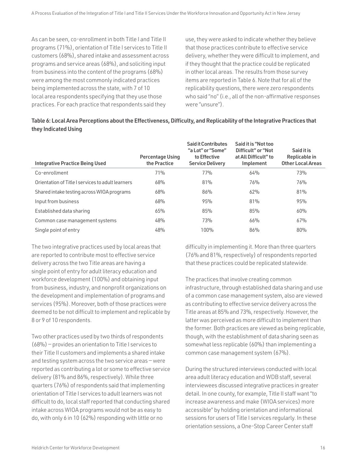As can be seen, co-enrollment in both Title I and Title II programs (71%), orientation of Title I services to Title II customers (68%), shared intake and assessment across programs and service areas (68%), and soliciting input from business into the content of the programs (68%) were among the most commonly indicated practices being implemented across the state, with 7 of 10 local area respondents specifying that they use those practices. For each practice that respondents said they

use, they were asked to indicate whether they believe that those practices contribute to effective service delivery, whether they were difficult to implement, and if they thought that the practice could be replicated in other local areas. The results from those survey items are reported in Table 6. Note that for all of the replicability questions, there were zero respondents who said "no" (i.e., all of the non-affirmative responses were "unsure").

| Table 6: Local Area Perceptions about the Effectiveness, Difficulty, and Replicability of the Integrative Practices that |  |
|--------------------------------------------------------------------------------------------------------------------------|--|
| they Indicated Using                                                                                                     |  |

| <b>Integrative Practice Being Used</b>            | <b>Percentage Using</b><br>the Practice | <b>Said it Contributes</b><br>"a Lot" or "Some"<br>to Effective<br><b>Service Delivery</b> | Said it is "Not too<br>Difficult" or "Not<br>at All Difficult" to<br>Implement | Said it is<br>Replicable in<br><b>Other Local Areas</b> |
|---------------------------------------------------|-----------------------------------------|--------------------------------------------------------------------------------------------|--------------------------------------------------------------------------------|---------------------------------------------------------|
| Co-enrollment                                     | 71%                                     | 77%                                                                                        | 64%                                                                            | 73%                                                     |
| Orientation of Title I services to adult learners | 68%                                     | 81%                                                                                        | 76%                                                                            | 76%                                                     |
| Shared intake testing across WIOA programs        | 68%                                     | 86%                                                                                        | 62%                                                                            | 81%                                                     |
| Input from business                               | 68%                                     | 95%                                                                                        | 81%                                                                            | 95%                                                     |
| Established data sharing                          | 65%                                     | 85%                                                                                        | 85%                                                                            | 60%                                                     |
| Common case management systems                    | 48%                                     | 73%                                                                                        | 66%                                                                            | 67%                                                     |
| Single point of entry                             | 48%                                     | 100%                                                                                       | 86%                                                                            | 80%                                                     |

The two integrative practices used by local areas that are reported to contribute most to effective service delivery across the two Title areas are having a single point of entry for adult literacy education and workforce development (100%) and obtaining input from business, industry, and nonprofit organizations on the development and implementation of programs and services (95%). Moreover, both of those practices were deemed to be not difficult to implement and replicable by 8 or 9 of 10 respondents.

Two other practices used by two thirds of respondents (68%) — provides an orientation to Title I services to their Title II customers and implements a shared intake and testing system across the two service areas — were reported as contributing a lot or some to effective service delivery (81% and 86%, respectively). While three quarters (76%) of respondents said that implementing orientation of Title I services to adult learners was not difficult to do, local staff reported that conducting shared intake across WIOA programs would not be as easy to do, with only 6 in 10 (62%) responding with little or no

difficulty in implementing it. More than three quarters (76% and 81%, respectively) of respondents reported that these practices could be replicated statewide.

The practices that involve creating common infrastructure, through established data sharing and use of a common case management system, also are viewed as contributing to effective service delivery across the Title areas at 85% and 73%, respectively. However, the latter was perceived as more difficult to implement than the former. Both practices are viewed as being replicable, though, with the establishment of data sharing seen as somewhat less replicable (60%) than implementing a common case management system (67%).

During the structured interviews conducted with local area adult literacy education and WDB staff, several interviewees discussed integrative practices in greater detail. In one county, for example, Title II staff want "to increase awareness and make (WIOA services) more accessible" by holding orientation and informational sessions for users of Title I services regularly. In these orientation sessions, a One-Stop Career Center staff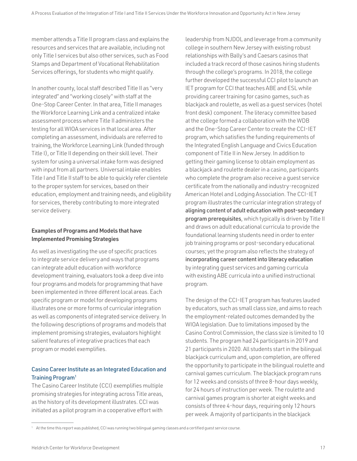member attends a Title II program class and explains the resources and services that are available, including not only Title I services but also other services, such as Food Stamps and Department of Vocational Rehabilitation Services offerings, for students who might qualify.

In another county, local staff described Title II as "very integrated" and "working closely" with staff at the One-Stop Career Center. In that area, Title II manages the Workforce Learning Link and a centralized intake assessment process where Title II administers the testing for all WIOA services in that local area. After completing an assessment, individuals are referred to training, the Workforce Learning Link (funded through Title I), or Title II depending on their skill level. Their system for using a universal intake form was designed with input from all partners. Universal intake enables Title I and Title II staff to be able to quickly refer clientele to the proper system for services, based on their education, employment and training needs, and eligibility for services, thereby contributing to more integrated service delivery.

# Examples of Programs and Models that have Implemented Promising Strategies

As well as investigating the use of specific practices to integrate service delivery and ways that programs can integrate adult education with workforce development training, evaluators took a deep dive into four programs and models for programming that have been implemented in three different local areas. Each specific program or model for developing programs illustrates one or more forms of curricular integration as well as components of integrated service delivery. In the following descriptions of programs and models that implement promising strategies, evaluators highlight salient features of integrative practices that each program or model exemplifies.

# Casino Career Institute as an Integrated Education and Training Program1

The Casino Career Institute (CCI) exemplifies multiple promising strategies for integrating across Title areas, as the history of its development illustrates. CCI was initiated as a pilot program in a cooperative effort with

leadership from NJDOL and leverage from a community college in southern New Jersey with existing robust relationships with Bally's and Caesars casinos that included a track record of those casinos hiring students through the college's programs. In 2018, the college further developed the successful CCI pilot to launch an IET program for CCI that teaches ABE and ESL while providing career training for casino games, such as blackjack and roulette, as well as a guest services (hotel front desk) component. The literacy committee based at the college formed a collaboration with the WDB and the One-Stop Career Center to create the CCI-IET program, which satisfies the funding requirements of the Integrated English Language and Civics Education component of Title II in New Jersey. In addition to getting their gaming license to obtain employment as a blackjack and roulette dealer in a casino, participants who complete the program also receive a guest service certificate from the nationally and industry-recognized American Hotel and Lodging Association. The CCI-IET program illustrates the curricular integration strategy of aligning content of adult education with post-secondary program prerequisites, which typically is driven by Title II and draws on adult educational curricula to provide the foundational learning students need in order to enter job training programs or post-secondary educational courses; yet the program also reflects the strategy of incorporating career content into literacy education by integrating guest services and gaming curricula with existing ABE curricula into a unified instructional program.

The design of the CCI-IET program has features lauded by educators, such as small class size, and aims to reach the employment-related outcomes demanded by the WIOA legislation. Due to limitations imposed by the Casino Control Commission, the class size is limited to 10 students. The program had 24 participants in 2019 and 21 participants in 2020. All students start in the bilingual blackjack curriculum and, upon completion, are offered the opportunity to participate in the bilingual roulette and carnival games curriculum. The blackjack program runs for 12 weeks and consists of three 8-hour days weekly, for 24 hours of instruction per week. The roulette and carnival games program is shorter at eight weeks and consists of three 4-hour days, requiring only 12 hours per week. A majority of participants in the blackjack

<sup>&</sup>lt;sup>1</sup> At the time this report was published, CCI was running two bilingual gaming classes and a certified guest service course.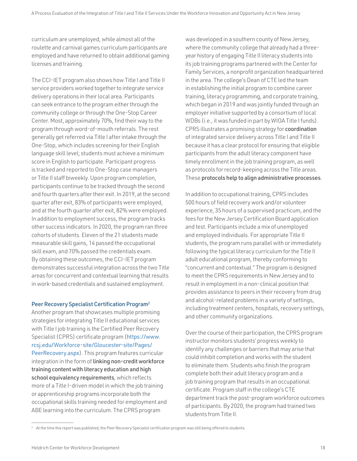curriculum are unemployed, while almost all of the roulette and carnival games curriculum participants are employed and have returned to obtain additional gaming licenses and training.

The CCI-IET program also shows how Title I and Title II service providers worked together to integrate service delivery operations in their local area. Participants can seek entrance to the program either through the community college or through the One-Stop Career Center. Most, approximately 70%, find their way to the program through word-of-mouth referrals. The rest generally get referred via Title I after intake through the One-Stop, which includes screening for their English language skill level; students must achieve a minimum score in English to participate. Participant progress is tracked and reported to One-Stop case managers or Title II staff biweekly. Upon program completion, participants continue to be tracked through the second and fourth quarters after their exit. In 2019, at the second quarter after exit, 83% of participants were employed, and at the fourth quarter after exit, 82% were employed. In addition to employment success, the program tracks other success indicators. In 2020, the program ran three cohorts of students. Eleven of the 21 students made measurable skill gains, 14 passed the occupational skill exam, and 70% passed the credentials exam. By obtaining these outcomes, the CCI-IET program demonstrates successful integration across the two Title areas for concurrent and contextual learning that results in work-based credentials and sustained employment.

## Peer Recovery Specialist Certification Program2

Another program that showcases multiple promising strategies for integrating Title II educational services with Title I job training is the Certified Peer Recovery Specialist (CPRS) certificate program ([https://www.](https://www.rcsj.edu/Workforce-site/Gloucester-site/Pages/PeerRecovery.aspx) [rcsj.edu/Workforce-site/Gloucester-site/Pages/](https://www.rcsj.edu/Workforce-site/Gloucester-site/Pages/PeerRecovery.aspx) [PeerRecovery.aspx](https://www.rcsj.edu/Workforce-site/Gloucester-site/Pages/PeerRecovery.aspx)). This program features curricular integration in the form of linking non-credit workforce training content with literacy education and high school equivalency requirements, which reflects more of a Title I-driven model in which the job training or apprenticeship programs incorporate both the occupational skills training needed for employment and ABE learning into the curriculum. The CPRS program

was developed in a southern county of New Jersey, where the community college that already had a threeyear history of engaging Title II literacy students into its job training programs partnered with the Center for Family Services, a nonprofit organization headquartered in the area. The college's Dean of CTE led the team in establishing the initial program to combine career training, literacy programming, and corporate training, which began in 2019 and was jointly funded through an employer initiative supported by a consortium of local WDBs (i.e., it was funded in part by WIOA Title I funds). CPRS illustrates a promising strategy for coordination of integrated service delivery across Title I and Title II because it has a clear protocol for ensuring that eligible participants from the adult literacy component have timely enrollment in the job training program, as well as protocols for record-keeping across the Title areas. These protocols help to align administrative processes.

In addition to occupational training, CPRS includes 500 hours of field recovery work and/or volunteer experience, 35 hours of a supervised practicum, and the fees for the New Jersey Certification Board application and test. Participants include a mix of unemployed and employed individuals. For appropriate Title II students, the program runs parallel with or immediately following the typical literacy curriculum for the Title II adult educational program, thereby conforming to "concurrent and contextual." The program is designed to meet the CPRS requirements in New Jersey and to result in employment in a non-clinical position that provides assistance to peers in their recovery from drug and alcohol-related problems in a variety of settings, including treatment centers, hospitals, recovery settings, and other community organizations.

Over the course of their participation, the CPRS program instructor monitors students' progress weekly to identify any challenges or barriers that may arise that could inhibit completion and works with the student to eliminate them. Students who finish the program complete both their adult literacy program and a job training program that results in an occupational certificate. Program staff in the college's CTE department track the post-program workforce outcomes of participants. By 2020, the program had trained two students from Title II.

<sup>&</sup>lt;sup>2</sup> At the time this report was published, the Peer Recovery Specialist certification program was still being offered to students.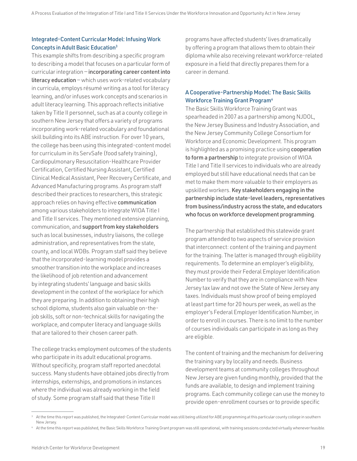# Integrated-Content Curricular Model: Infusing Work Concepts in Adult Basic Education3

This example shifts from describing a specific program to describing a model that focuses on a particular form of curricular integration — incorporating career content into literacy education — which uses work-related vocabulary in curricula, employs résumé writing as a tool for literacy learning, and/or infuses work concepts and scenarios in adult literacy learning. This approach reflects initiative taken by Title II personnel, such as at a county college in southern New Jersey that offers a variety of programs incorporating work-related vocabulary and foundational skill building into its ABE instruction. For over 10 years, the college has been using this integrated-content model for curriculum in its ServSafe (food safety training), Cardiopulmonary Resuscitation-Healthcare Provider Certification, Certified Nursing Assistant, Certified Clinical Medical Assistant, Peer Recovery Certificate, and Advanced Manufacturing programs. As program staff described their practices to researchers, this strategic approach relies on having effective communication among various stakeholders to integrate WIOA Title I and Title II services. They mentioned extensive planning, communication, and support from key stakeholders such as local businesses, industry liaisons, the college administration, and representatives from the state, county, and local WDBs. Program staff said they believe that the incorporated-learning model provides a smoother transition into the workplace and increases the likelihood of job retention and advancement by integrating students' language and basic skills development in the context of the workplace for which they are preparing. In addition to obtaining their high school diploma, students also gain valuable on-thejob skills, soft or non-technical skills for navigating the workplace, and computer literacy and language skills that are tailored to their chosen career path.

The college tracks employment outcomes of the students who participate in its adult educational programs. Without specificity, program staff reported anecdotal success. Many students have obtained jobs directly from internships, externships, and promotions in instances where the individual was already working in the field of study. Some program staff said that these Title II

programs have affected students' lives dramatically by offering a program that allows them to obtain their diploma while also receiving relevant workforce-related exposure in a field that directly prepares them for a career in demand.

# A Cooperative-Partnership Model: The Basic Skills Workforce Training Grant Program<sup>4</sup>

The Basic Skills Workforce Training Grant was spearheaded in 2007 as a partnership among NJDOL, the New Jersey Business and Industry Association, and the New Jersey Community College Consortium for Workforce and Economic Development. This program is highlighted as a promising practice using cooperation to form a partnership to integrate provision of WIOA Title I and Title II services to individuals who are already employed but still have educational needs that can be met to make them more valuable to their employers as upskilled workers. Key stakeholders engaging in the partnership include state-level leaders, representatives from business/industry across the state, and educators who focus on workforce development programming.

The partnership that established this statewide grant program attended to two aspects of service provision that interconnect: content of the training and payment for the training. The latter is managed through eligibility requirements. To determine an employer's eligibility, they must provide their Federal Employer Identification Number to verify that they are in compliance with New Jersey tax law and not owe the State of New Jersey any taxes. Individuals must show proof of being employed at least part time for 20 hours per week, as well as the employer's Federal Employer Identification Number, in order to enroll in courses. There is no limit to the number of courses individuals can participate in as long as they are eligible.

The content of training and the mechanism for delivering the training vary by locality and needs. Business development teams at community colleges throughout New Jersey are given funding monthly, provided that the funds are available, to design and implement training programs. Each community college can use the money to provide open-enrollment courses or to provide specific

<sup>&</sup>lt;sup>3</sup> At the time this report was published, the Integrated-Content Curricular model was still being utilized for ABE programming at this particular county college in southern New Jersey.

<sup>4</sup> At the time this report was published, the Basic Skills Workforce Training Grant program was still operational, with training sessions conducted virtually whenever feasible.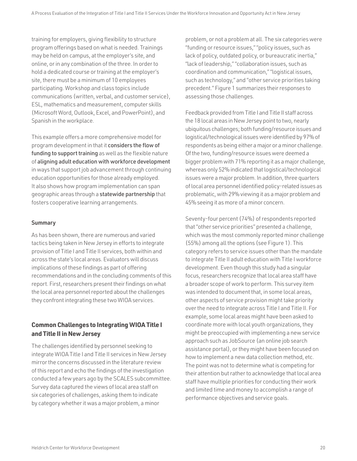training for employers, giving flexibility to structure program offerings based on what is needed. Trainings may be held on campus, at the employer's site, and online, or in any combination of the three. In order to hold a dedicated course or training at the employer's site, there must be a minimum of 10 employees participating. Workshop and class topics include communications (written, verbal, and customer service), ESL, mathematics and measurement, computer skills (Microsoft Word, Outlook, Excel, and PowerPoint), and Spanish in the workplace.

This example offers a more comprehensive model for program development in that it considers the flow of funding to support training as well as the flexible nature of aligning adult education with workforce development in ways that support job advancement through continuing education opportunities for those already employed. It also shows how program implementation can span geographic areas through a statewide partnership that fosters cooperative learning arrangements.

# Summary

As has been shown, there are numerous and varied tactics being taken in New Jersey in efforts to integrate provision of Title I and Title II services, both within and across the state's local areas. Evaluators will discuss implications of these findings as part of offering recommendations and in the concluding comments of this report. First, researchers present their findings on what the local area personnel reported about the challenges they confront integrating these two WIOA services.

# **Common Challenges to Integrating WIOA Title I and Title II in New Jersey**

The challenges identified by personnel seeking to integrate WIOA Title I and Title II services in New Jersey mirror the concerns discussed in the literature review of this report and echo the findings of the investigation conducted a few years ago by the SCALES subcommittee. Survey data captured the views of local area staff on six categories of challenges, asking them to indicate by category whether it was a major problem, a minor

problem, or not a problem at all. The six categories were "funding or resource issues," "policy issues, such as lack of policy, outdated policy, or bureaucratic inertia," "lack of leadership," "collaboration issues, such as coordination and communication," "logistical issues, such as technology," and "other service priorities taking precedent." Figure 1 summarizes their responses to assessing those challenges.

Feedback provided from Title I and Title II staff across the 18 local areas in New Jersey point to two, nearly ubiquitous challenges; both funding/resource issues and logistical/technological issues were identified by 97% of respondents as being either a major or a minor challenge. Of the two, funding/resource issues were deemed a bigger problem with 71% reporting it as a major challenge, whereas only 52% indicated that logistical/technological issues were a major problem. In addition, three quarters of local area personnel identified policy-related issues as problematic, with 29% viewing it as a major problem and 45% seeing it as more of a minor concern.

Seventy-four percent (74%) of respondents reported that "other service priorities" presented a challenge, which was the most commonly reported minor challenge (55%) among all the options (see Figure 1). This category refers to service issues other than the mandate to integrate Title II adult education with Title I workforce development. Even though this study had a singular focus, researchers recognize that local area staff have a broader scope of work to perform. This survey item was intended to document that, in some local areas, other aspects of service provision might take priority over the need to integrate across Title I and Title II. For example, some local areas might have been asked to coordinate more with local youth organizations, they might be preoccupied with implementing a new service approach such as JobSource (an online job search assistance portal), or they might have been focused on how to implement a new data collection method, etc. The point was not to determine what is competing for their attention but rather to acknowledge that local area staff have multiple priorities for conducting their work and limited time and money to accomplish a range of performance objectives and service goals.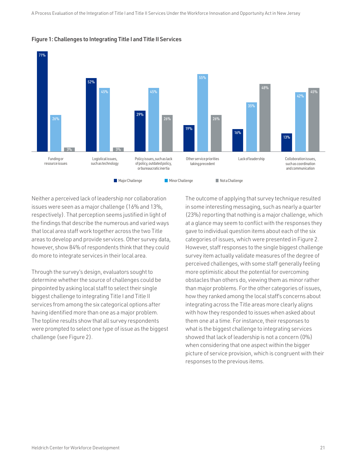

Figure 1: Challenges to Integrating Title I and Title II Services

Neither a perceived lack of leadership nor collaboration issues were seen as a major challenge (16% and 13%, respectively). That perception seems justified in light of the findings that describe the numerous and varied ways that local area staff work together across the two Title areas to develop and provide services. Other survey data, however, show 84% of respondents think that they could do more to integrate services in their local area.

Through the survey's design, evaluators sought to determine whether the source of challenges could be pinpointed by asking local staff to select their single biggest challenge to integrating Title I and Title II services from among the six categorical options after having identified more than one as a major problem. The topline results show that all survey respondents were prompted to select one type of issue as the biggest challenge (see Figure 2).

The outcome of applying that survey technique resulted in some interesting messaging, such as nearly a quarter (23%) reporting that nothing is a major challenge, which at a glance may seem to conflict with the responses they gave to individual question items about each of the six categories of issues, which were presented in Figure 2. However, staff responses to the single biggest challenge survey item actually validate measures of the degree of perceived challenges, with some staff generally feeling more optimistic about the potential for overcoming obstacles than others do, viewing them as minor rather than major problems. For the other categories of issues, how they ranked among the local staff's concerns about integrating across the Title areas more clearly aligns with how they responded to issues when asked about them one at a time. For instance, their responses to what is the biggest challenge to integrating services showed that lack of leadership is not a concern (0%) when considering that one aspect within the bigger picture of service provision, which is congruent with their responses to the previous items.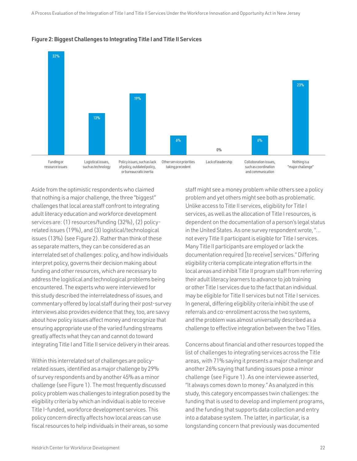

Figure 2: Biggest Challenges to Integrating Title I and Title II Services

Aside from the optimistic respondents who claimed that nothing is a major challenge, the three "biggest" challenges that local area staff confront to integrating adult literacy education and workforce development services are: (1) resources/funding (32%), (2) policyrelated issues (19%), and (3) logistical/technological issues (13%) (see Figure 2). Rather than think of these as separate matters, they can be considered as an interrelated set of challenges: policy, and how individuals interpret policy, governs their decision making about funding and other resources, which are necessary to address the logistical and technological problems being encountered. The experts who were interviewed for this study described the interrelatedness of issues, and commentary offered by local staff during their post-survey interviews also provides evidence that they, too, are savvy about how policy issues affect money and recognize that ensuring appropriate use of the varied funding streams greatly affects what they can and cannot do toward integrating Title I and Title II service delivery in their areas.

Within this interrelated set of challenges are policyrelated issues, identified as a major challenge by 29% of survey respondents and by another 45% as a minor challenge (see Figure 1). The most frequently discussed policy problem was challenges to integration posed by the eligibility criteria by which an individual is able to receive Title I-funded, workforce development services. This policy concern directly affects how local areas can use fiscal resources to help individuals in their areas, so some

staff might see a money problem while others see a policy problem and yet others might see both as problematic. Unlike access to Title II services, eligibility for Title I services, as well as the allocation of Title I resources, is dependent on the documentation of a person's legal status in the United States. As one survey respondent wrote, "… not every Title II participant is eligible for Title I services. Many Title II participants are employed or lack the documentation required [to receive] services." Differing eligibility criteria complicate integration efforts in the local areas and inhibit Title II program staff from referring their adult literacy learners to advance to job training or other Title I services due to the fact that an individual may be eligible for Title II services but not Title I services. In general, differing eligibility criteria inhibit the use of referrals and co-enrollment across the two systems, and the problem was almost universally described as a challenge to effective integration between the two Titles.

Concerns about financial and other resources topped the list of challenges to integrating services across the Title areas, with 71% saying it presents a major challenge and another 26% saying that funding issues pose a minor challenge (see Figure 1). As one interviewee asserted, "It always comes down to money." As analyzed in this study, this category encompasses twin challenges: the funding that is used to develop and implement programs, and the funding that supports data collection and entry into a database system. The latter, in particular, is a longstanding concern that previously was documented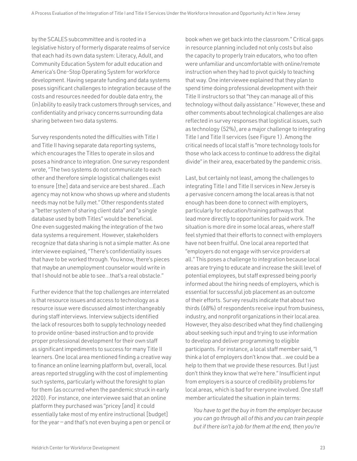by the SCALES subcommittee and is rooted in a legislative history of formerly disparate realms of service that each had its own data system: Literacy, Adult, and Community Education System for adult education and America's One-Stop Operating System for workforce development. Having separate funding and data systems poses significant challenges to integration because of the costs and resources needed for double data entry, the (in)ability to easily track customers through services, and confidentiality and privacy concerns surrounding data sharing between two data systems.

Survey respondents noted the difficulties with Title I and Title II having separate data reporting systems, which encourages the Titles to operate in silos and poses a hindrance to integration. One survey respondent wrote, "The two systems do not communicate to each other and therefore simple logistical challenges exist to ensure [the] data and service are best shared…Each agency may not know who shows up where and students needs may not be fully met." Other respondents stated a "better system of sharing client data" and "a single database used by both Titles" would be beneficial. One even suggested making the integration of the two data systems a requirement. However, stakeholders recognize that data sharing is not a simple matter. As one interviewee explained, "There's confidentiality issues that have to be worked through. You know, there's pieces that maybe an unemployment counselor would write in that I should not be able to see…that's a real obstacle."

Further evidence that the top challenges are interrelated is that resource issues and access to technology as a resource issue were discussed almost interchangeably during staff interviews. Interview subjects identified the lack of resources both to supply technology needed to provide online-based instruction and to provide proper professional development for their own staff as significant impediments to success for many Title II learners. One local area mentioned finding a creative way to finance an online learning platform but, overall, local areas reported struggling with the cost of implementing such systems, particularly without the foresight to plan for them (as occurred when the pandemic struck in early 2020). For instance, one interviewee said that an online platform they purchased was "pricey [and] it could essentially take most of my entire instructional [budget] for the year — and that's not even buying a pen or pencil or

book when we get back into the classroom." Critical gaps in resource planning included not only costs but also the capacity to properly train educators, who too often were unfamiliar and uncomfortable with online/remote instruction when they had to pivot quickly to teaching that way. One interviewee explained that they plan to spend time doing professional development with their Title II instructors so that "they can manage all of this technology without daily assistance." However, these and other comments about technological challenges are also reflected in survey responses that logistical issues, such as technology (52%), are a major challenge to integrating Title I and Title II services (see Figure 1). Among the critical needs of local staff is "more technology tools for those who lack access to continue to address the digital divide" in their area, exacerbated by the pandemic crisis.

Last, but certainly not least, among the challenges to integrating Title I and Title II services in New Jersey is a pervasive concern among the local areas is that not enough has been done to connect with employers, particularly for education/training pathways that lead more directly to opportunities for paid work. The situation is more dire in some local areas, where staff feel stymied that their efforts to connect with employers have not been fruitful. One local area reported that "employers do not engage with service providers at all." This poses a challenge to integration because local areas are trying to educate and increase the skill level of potential employees, but staff expressed being poorly informed about the hiring needs of employers, which is essential for successful job placement as an outcome of their efforts. Survey results indicate that about two thirds (68%) of respondents receive input from business, industry, and nonprofit organizations in their local area. However, they also described what they find challenging about seeking such input and trying to use information to develop and deliver programming to eligible participants. For instance, a local staff member said, "I think a lot of employers don't know that…we could be a help to them that we provide these resources. But I just don't think they know that we're here." Insufficient input from employers is a source of credibility problems for local areas, which is bad for everyone involved. One staff member articulated the situation in plain terms:

*You have to get the buy in from the employer because you can go through all of this and you can train people but if there isn't a job for them at the end, then you're*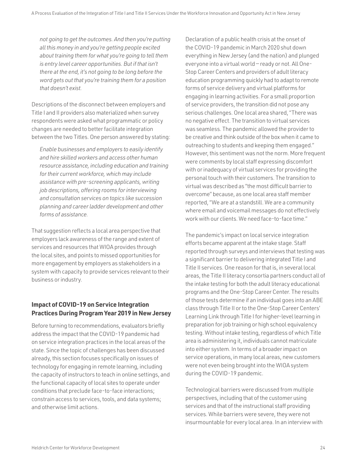*not going to get the outcomes. And then you're putting all this money in and you're getting people excited about training them for what you're going to tell them is entry level career opportunities. But if that isn't there at the end, it's not going to be long before the word gets out that you're training them for a position that doesn't exist.*

Descriptions of the disconnect between employers and Title I and II providers also materialized when survey respondents were asked what programmatic or policy changes are needed to better facilitate integration between the two Titles. One person answered by stating:

*Enable businesses and employers to easily identify and hire skilled workers and access other human resource assistance, including education and training for their current workforce, which may include assistance with pre-screening applicants, writing job descriptions, offering rooms for interviewing and consultation services on topics like succession planning and career ladder development and other forms of assistance.*

That suggestion reflects a local area perspective that employers lack awareness of the range and extent of services and resources that WIOA provides through the local sites, and points to missed opportunities for more engagement by employers as stakeholders in a system with capacity to provide services relevant to their business or industry.

# **Impact of COVID-19 on Service Integration Practices During Program Year 2019 in New Jersey**

Before turning to recommendations, evaluators briefly address the impact that the COVID-19 pandemic had on service integration practices in the local areas of the state. Since the topic of challenges has been discussed already, this section focuses specifically on issues of technology for engaging in remote learning, including the capacity of instructors to teach in online settings, and the functional capacity of local sites to operate under conditions that preclude face-to-face interactions; constrain access to services, tools, and data systems; and otherwise limit actions.

Declaration of a public health crisis at the onset of the COVID-19 pandemic in March 2020 shut down everything in New Jersey (and the nation) and plunged everyone into a virtual world — ready or not. All One-Stop Career Centers and providers of adult literacy education programming quickly had to adapt to remote forms of service delivery and virtual platforms for engaging in learning activities. For a small proportion of service providers, the transition did not pose any serious challenges. One local area shared, "There was no negative effect. The transition to virtual services was seamless. The pandemic allowed the provider to be creative and think outside of the box when it came to outreaching to students and keeping them engaged." However, this sentiment was not the norm. More frequent were comments by local staff expressing discomfort with or inadequacy of virtual services for providing the personal touch with their customers. The transition to virtual was described as "the most difficult barrier to overcome" because, as one local area staff member reported, "We are at a standstill. We are a community where email and voicemail messages do not effectively work with our clients. We need face-to-face time."

The pandemic's impact on local service integration efforts became apparent at the intake stage. Staff reported through surveys and interviews that testing was a significant barrier to delivering integrated Title I and Title II services. One reason for that is, in several local areas, the Title II literacy consortia partners conduct all of the intake testing for both the adult literacy educational programs and the One-Stop Career Center. The results of those tests determine if an individual goes into an ABE class through Title II or to the One-Stop Career Centers' Learning Link through Title I for higher-level learning in preparation for job training or high school equivalency testing. Without intake testing, regardless of which Title area is administering it, individuals cannot matriculate into either system. In terms of a broader impact on service operations, in many local areas, new customers were not even being brought into the WIOA system during the COVID-19 pandemic.

Technological barriers were discussed from multiple perspectives, including that of the customer using services and that of the instructional staff providing services. While barriers were severe, they were not insurmountable for every local area. In an interview with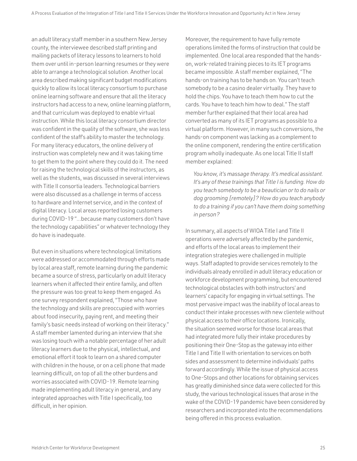an adult literacy staff member in a southern New Jersey county, the interviewee described staff printing and mailing packets of literacy lessons to learners to hold them over until in-person learning resumes or they were able to arrange a technological solution. Another local area described making significant budget modifications quickly to allow its local literacy consortium to purchase online learning software and ensure that all the literacy instructors had access to a new, online learning platform, and that curriculum was deployed to enable virtual instruction. While this local literacy consortium director was confident in the quality of the software, she was less confident of the staff's ability to master the technology. For many literacy educators, the online delivery of instruction was completely new and it was taking time to get them to the point where they could do it. The need for raising the technological skills of the instructors, as well as the students, was discussed in several interviews with Title II consortia leaders. Technological barriers were also discussed as a challenge in terms of access to hardware and Internet service, and in the context of digital literacy. Local areas reported losing customers during COVID-19 "...because many customers don't have the technology capabilities" or whatever technology they do have is inadequate.

But even in situations where technological limitations were addressed or accommodated through efforts made by local area staff, remote learning during the pandemic became a source of stress, particularly on adult literacy learners when it affected their entire family, and often the pressure was too great to keep them engaged. As one survey respondent explained, "Those who have the technology and skills are preoccupied with worries about food insecurity, paying rent, and meeting their family's basic needs instead of working on their literacy." A staff member lamented during an interview that she was losing touch with a notable percentage of her adult literacy learners due to the physical, intellectual, and emotional effort it took to learn on a shared computer with children in the house, or on a cell phone that made learning difficult, on top of all the other burdens and worries associated with COVID-19. Remote learning made implementing adult literacy in general, and any integrated approaches with Title I specifically, too difficult, in her opinion.

Moreover, the requirement to have fully remote operations limited the forms of instruction that could be implemented. One local area responded that the handson, work-related training pieces to its IET programs became impossible. A staff member explained, "The hands-on training has to be hands on. You can't teach somebody to be a casino dealer virtually. They have to hold the chips. You have to teach them how to cut the cards. You have to teach him how to deal." The staff member further explained that their local area had converted as many of its IET programs as possible to a virtual platform. However, in many such conversions, the hands-on component was lacking as a complement to the online component, rendering the entire certification program wholly inadequate. As one local Title II staff member explained:

*You know, it's massage therapy. It's medical assistant. It's any of these trainings that Title I is funding. How do you teach somebody to be a beautician or to do nails or dog grooming [remotely]? How do you teach anybody to do a training if you can't have them doing something in person?*

In summary, all aspects of WIOA Title I and Title II operations were adversely affected by the pandemic, and efforts of the local areas to implement their integration strategies were challenged in multiple ways. Staff adapted to provide services remotely to the individuals already enrolled in adult literacy education or workforce development programming, but encountered technological obstacles with both instructors' and learners' capacity for engaging in virtual settings. The most pervasive impact was the inability of local areas to conduct their intake processes with new clientele without physical access to their office locations. Ironically, the situation seemed worse for those local areas that had integrated more fully their intake procedures by positioning their One-Stop as the gateway into either Title I and Title II with orientation to services on both sides and assessment to determine individuals' paths forward accordingly. While the issue of physical access to One-Stops and other locations for obtaining services has greatly diminished since data were collected for this study, the various technological issues that arose in the wake of the COVID-19 pandemic have been considered by researchers and incorporated into the recommendations being offered in this process evaluation.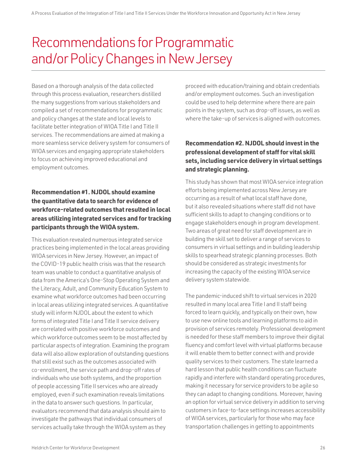# <span id="page-27-0"></span>Recommendations for Programmatic and/or Policy Changes in New Jersey

Based on a thorough analysis of the data collected through this process evaluation, researchers distilled the many suggestions from various stakeholders and compiled a set of recommendations for programmatic and policy changes at the state and local levels to facilitate better integration of WIOA Title I and Title II services. The recommendations are aimed at making a more seamless service delivery system for consumers of WIOA services and engaging appropriate stakeholders to focus on achieving improved educational and employment outcomes.

# **Recommendation #1. NJDOL should examine the quantitative data to search for evidence of workforce-related outcomes that resulted in local areas utilizing integrated services and for tracking participants through the WIOA system.**

This evaluation revealed numerous integrated service practices being implemented in the local areas providing WIOA services in New Jersey. However, an impact of the COVID-19 public health crisis was that the research team was unable to conduct a quantitative analysis of data from the America's One-Stop Operating System and the Literacy, Adult, and Community Education System to examine what workforce outcomes had been occurring in local areas utilizing integrated services. A quantitative study will inform NJDOL about the extent to which forms of integrated Title I and Title II service delivery are correlated with positive workforce outcomes and which workforce outcomes seem to be most affected by particular aspects of integration. Examining the program data will also allow exploration of outstanding questions that still exist such as the outcomes associated with co-enrollment, the service path and drop-off rates of individuals who use both systems, and the proportion of people accessing Title II services who are already employed, even if such examination reveals limitations in the data to answer such questions. In particular, evaluators recommend that data analysis should aim to investigate the pathways that individual consumers of services actually take through the WIOA system as they

proceed with education/training and obtain credentials and/or employment outcomes. Such an investigation could be used to help determine where there are pain points in the system, such as drop-off issues, as well as where the take-up of services is aligned with outcomes.

# **Recommendation #2. NJDOL should invest in the professional development of staff for vital skill sets, including service delivery in virtual settings and strategic planning.**

This study has shown that most WIOA service integration efforts being implemented across New Jersey are occurring as a result of what local staff have done, but it also revealed situations where staff did not have sufficient skills to adapt to changing conditions or to engage stakeholders enough in program development. Two areas of great need for staff development are in building the skill set to deliver a range of services to consumers in virtual settings and in building leadership skills to spearhead strategic planning processes. Both should be considered as strategic investments for increasing the capacity of the existing WIOA service delivery system statewide.

The pandemic-induced shift to virtual services in 2020 resulted in many local area Title I and II staff being forced to learn quickly, and typically on their own, how to use new online tools and learning platforms to aid in provision of services remotely. Professional development is needed for these staff members to improve their digital fluency and comfort level with virtual platforms because it will enable them to better connect with and provide quality services to their customers. The state learned a hard lesson that public health conditions can fluctuate rapidly and interfere with standard operating procedures, making it necessary for service providers to be agile so they can adapt to changing conditions. Moreover, having an option for virtual service delivery in addition to serving customers in face-to-face settings increases accessibility of WIOA services, particularly for those who may face transportation challenges in getting to appointments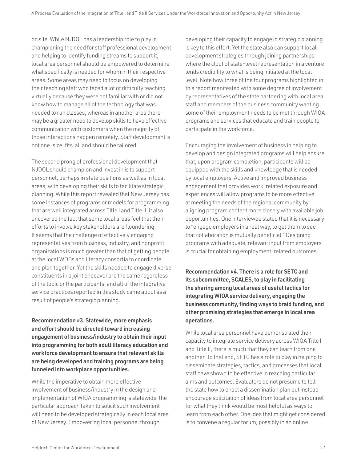on site. While NJDOL has a leadership role to play in championing the need for staff professional development and helping to identify funding streams to support it, local area personnel should be empowered to determine what specifically is needed for whom in their respective areas. Some areas may need to focus on developing their teaching staff who faced a lot of difficulty teaching virtually because they were not familiar with or did not know how to manage all of the technology that was needed to run classes, whereas in another area there may be a greater need to develop skills to have effective communication with customers when the majority of those interactions happen remotely. Staff development is not one-size-fits-all and should be tailored.

The second prong of professional development that NJDOL should champion and invest in is to support personnel, perhaps in state positions as well as in local areas, with developing their skills to facilitate strategic planning. While this report revealed that New Jersey has some instances of programs or models for programming that are well integrated across Title I and Title II, it also uncovered the fact that some local areas feel that their efforts to involve key stakeholders are floundering. It seems that the challenge of effectively engaging representatives from business, industry, and nonprofit organizations is much greater than that of getting people at the local WDBs and literacy consortia to coordinate and plan together. Yet the skills needed to engage diverse constituents in a joint endeavor are the same regardless of the topic or the participants, and all of the integrative service practices reported in this study came about as a result of people's strategic planning.

Recommendation #3. Statewide, more emphasis and effort should be directed toward increasing engagement of business/industry to obtain their input into programming for both adult literacy education and workforce development to ensure that relevant skills are being developed and training programs are being funneled into workplace opportunities.

While the imperative to obtain more effective involvement of business/industry in the design and implementation of WIOA programming is statewide, the particular approach taken to solicit such involvement will need to be developed strategically in each local area of New Jersey. Empowering local personnel through

developing their capacity to engage in strategic planning is key to this effort. Yet the state also can support local development strategies through joining partnerships where the clout of state-level representation in a venture lends credibility to what is being initiated at the local level. Note how three of the four programs highlighted in this report manifested with some degree of involvement by representatives of the state partnering with local area staff and members of the business community wanting some of their employment needs to be met through WIOA programs and services that educate and train people to participate in the workforce.

Encouraging the involvement of business in helping to develop and design integrated programs will help ensure that, upon program completion, participants will be equipped with the skills and knowledge that is needed by local employers. Active and improved business engagement that provides work-related exposure and experiences will allow programs to be more effective at meeting the needs of the regional community by aligning program content more closely with available job opportunities. One interviewee stated that it is necessary to "engage employers in a real way, to get them to see that collaboration is mutually beneficial." Designing programs with adequate, relevant input from employers is crucial for obtaining employment-related outcomes.

Recommendation #4. There is a role for SETC and its subcommittee, SCALES, to play in facilitating the sharing among local areas of useful tactics for integrating WIOA service delivery, engaging the business community, finding ways to braid funding, and other promising strategies that emerge in local area operations.

While local area personnel have demonstrated their capacity to integrate service delivery across WIOA Title I and Title II, there is much that they can learn from one another. To that end, SETC has a role to play in helping to disseminate strategies, tactics, and processes that local staff have shown to be effective in reaching particular aims and outcomes. Evaluators do not presume to tell the state how to enact a dissemination plan but instead encourage solicitation of ideas from local area personnel for what they think would be most helpful as ways to learn from each other. One idea that might get considered is to convene a regular forum, possibly in an online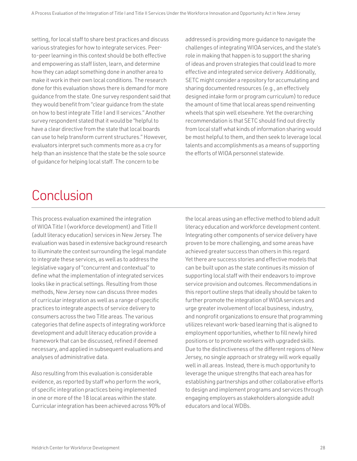<span id="page-29-0"></span>setting, for local staff to share best practices and discuss various strategies for how to integrate services. Peerto-peer learning in this context should be both effective and empowering as staff listen, learn, and determine how they can adapt something done in another area to make it work in their own local conditions. The research done for this evaluation shows there is demand for more guidance from the state. One survey respondent said that they would benefit from "clear guidance from the state on how to best integrate Title I and II services." Another survey respondent stated that it would be "helpful to have a clear directive from the state that local boards can use to help transform current structures." However, evaluators interpret such comments more as a cry for help than an insistence that the state be the sole source of guidance for helping local staff. The concern to be

addressed is providing more guidance to navigate the challenges of integrating WIOA services, and the state's role in making that happen is to support the sharing of ideas and proven strategies that could lead to more effective and integrated service delivery. Additionally, SETC might consider a repository for accumulating and sharing documented resources (e.g., an effectively designed intake form or program curriculum) to reduce the amount of time that local areas spend reinventing wheels that spin well elsewhere. Yet the overarching recommendation is that SETC should find out directly from local staff what kinds of information sharing would be most helpful to them, and then seek to leverage local talents and accomplishments as a means of supporting the efforts of WIOA personnel statewide.

# Conclusion

This process evaluation examined the integration of WIOA Title I (workforce development) and Title II (adult literacy education) services in New Jersey. The evaluation was based in extensive background research to illuminate the context surrounding the legal mandate to integrate these services, as well as to address the legislative vagary of "concurrent and contextual" to define what the implementation of integrated services looks like in practical settings. Resulting from those methods, New Jersey now can discuss three modes of curricular integration as well as a range of specific practices to integrate aspects of service delivery to consumers across the two Title areas. The various categories that define aspects of integrating workforce development and adult literacy education provide a framework that can be discussed, refined if deemed necessary, and applied in subsequent evaluations and analyses of administrative data.

Also resulting from this evaluation is considerable evidence, as reported by staff who perform the work, of specific integration practices being implemented in one or more of the 18 local areas within the state. Curricular integration has been achieved across 90% of the local areas using an effective method to blend adult literacy education and workforce development content. Integrating other components of service delivery have proven to be more challenging, and some areas have achieved greater success than others in this regard. Yet there are success stories and effective models that can be built upon as the state continues its mission of supporting local staff with their endeavors to improve service provision and outcomes. Recommendations in this report outline steps that ideally should be taken to further promote the integration of WIOA services and urge greater involvement of local business, industry, and nonprofit organizations to ensure that programming utilizes relevant work-based learning that is aligned to employment opportunities, whether to fill newly hired positions or to promote workers with upgraded skills. Due to the distinctiveness of the different regions of New Jersey, no single approach or strategy will work equally well in all areas. Instead, there is much opportunity to leverage the unique strengths that each area has for establishing partnerships and other collaborative efforts to design and implement programs and services through engaging employers as stakeholders alongside adult educators and local WDBs.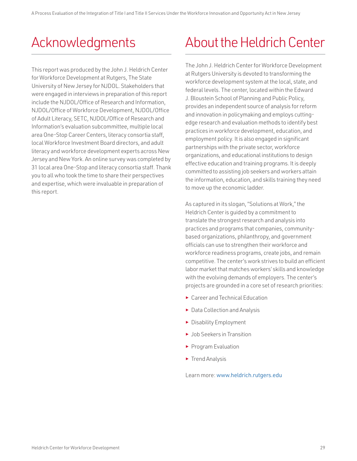# <span id="page-30-0"></span>Acknowledgments

This report was produced by the John J. Heldrich Center for Workforce Development at Rutgers, The State University of New Jersey for NJDOL. Stakeholders that were engaged in interviews in preparation of this report include the NJDOL/Office of Research and Information, NJDOL/Office of Workforce Development, NJDOL/Office of Adult Literacy, SETC, NJDOL/Office of Research and Information's evaluation subcommittee, multiple local area One-Stop Career Centers, literacy consortia staff, local Workforce Investment Board directors, and adult literacy and workforce development experts across New Jersey and New York. An online survey was completed by 31 local area One-Stop and literacy consortia staff. Thank you to all who took the time to share their perspectives and expertise, which were invaluable in preparation of this report.

# About the Heldrich Center

The John J. Heldrich Center for Workforce Development at Rutgers University is devoted to transforming the workforce development system at the local, state, and federal levels. The center, located within the Edward J. Bloustein School of Planning and Public Policy, provides an independent source of analysis for reform and innovation in policymaking and employs cuttingedge research and evaluation methods to identify best practices in workforce development, education, and employment policy. It is also engaged in significant partnerships with the private sector, workforce organizations, and educational institutions to design effective education and training programs. It is deeply committed to assisting job seekers and workers attain the information, education, and skills training they need to move up the economic ladder.

As captured in its slogan, "Solutions at Work," the Heldrich Center is guided by a commitment to translate the strongest research and analysis into practices and programs that companies, communitybased organizations, philanthropy, and government officials can use to strengthen their workforce and workforce readiness programs, create jobs, and remain competitive. The center's work strives to build an efficient labor market that matches workers' skills and knowledge with the evolving demands of employers. The center's projects are grounded in a core set of research priorities:

- ► Career and Technical Education
- ► Data Collection and Analysis
- ► Disability Employment
- ► Job Seekers in Transition
- ► Program Evaluation
- ► Trend Analysis

Learn more: [www.heldrich.rutgers.edu](http://www.heldrich.rutgers.edu)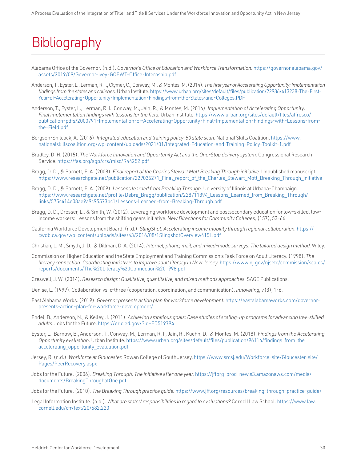# <span id="page-31-0"></span>**Bibliography**

- Alabama Office of the Governor. (n.d.). *Governor's Office of Education and Workforce Transformation*. [https://governor.alabama.gov/](https://governor.alabama.gov/assets/2019/09/Governor-Ivey-GOEWT-Office-Internship.pdf) [assets/2019/09/Governor-Ivey-GOEWT-Office-Internship.pdf](https://governor.alabama.gov/assets/2019/09/Governor-Ivey-GOEWT-Office-Internship.pdf)
- Anderson, T., Eyster, L., Lerman, R. I., Clymer, C., Conway, M., & Montes, M. (2014). *The first year of Accelerating Opportunity: Implementation findings from the states and colleges.* Urban Institute. [https://www.urban.org/sites/default/files/publication/22986/413238-The-First-](https://www.urban.org/sites/default/files/publication/22986/413238-The-First-Year-of-Accelerating-Opportunity-Implementation-Findings-from-the-States-and-Colleges.PDF)[Year-of-Accelerating-Opportunity-Implementation-Findings-from-the-States-and-Colleges.PDF](https://www.urban.org/sites/default/files/publication/22986/413238-The-First-Year-of-Accelerating-Opportunity-Implementation-Findings-from-the-States-and-Colleges.PDF)
- Anderson, T., Eyster, L., Lerman, R. I., Conway, M., Jain, R., & Montes, M. (2016). *Implementation of Accelerating Opportunity: Final implementation findings with lessons for the field.* Urban Institute. [https://www.urban.org/sites/default/files/alfresco/](https://www.urban.org/sites/default/files/alfresco/publication-pdfs/2000791-Implementation-of-Accelerating-Opportunity-Final-Implementation-Findings-with-Lessons-from-the-Field.pdf) [publication-pdfs/2000791-Implementation-of-Accelerating-Opportunity-Final-Implementation-Findings-with-Lessons-from](https://www.urban.org/sites/default/files/alfresco/publication-pdfs/2000791-Implementation-of-Accelerating-Opportunity-Final-Implementation-Findings-with-Lessons-from-the-Field.pdf)[the-Field.pdf](https://www.urban.org/sites/default/files/alfresco/publication-pdfs/2000791-Implementation-of-Accelerating-Opportunity-Final-Implementation-Findings-with-Lessons-from-the-Field.pdf)
- Bergson-Shilcock, A. (2016). *Integrated education and training policy: 50 state scan.* National Skills Coalition. [https://www.](https://www.nationalskillscoalition.org/wp-content/uploads/2021/01/Integrated-Education-and-Training-Policy-Toolkit-1.pdf) [nationalskillscoalition.org/wp-content/uploads/2021/01/Integrated-Education-and-Training-Policy-Toolkit-1.pdf](https://www.nationalskillscoalition.org/wp-content/uploads/2021/01/Integrated-Education-and-Training-Policy-Toolkit-1.pdf)
- Bradley, D. H. (2015). *The Workforce Innovation and Opportunity Act and the One-Stop delivery system.* Congressional Research Service.<https://fas.org/sgp/crs/misc/R44252.pdf>
- Bragg, D. D., & Barnett, E. A. (2008). *Final report of the Charles Stewart Mott Breaking Through initiative*. Unpublished manuscript. [https://www.researchgate.net/publication/229035271\\_Final\\_report\\_of\\_the\\_Charles\\_Stewart\\_Mott\\_Breaking\\_Through\\_initiative](https://www.researchgate.net/publication/229035271_Final_report_of_the_Charles_Stewart_Mott_Breaking_Through_initiative)
- Bragg, D. D., & Barnett, E. A. (2009). *Lessons learned from Breaking Through.* University of Illinois at Urbana-Champaign. [https://www.researchgate.net/profile/Debra\\_Bragg/publication/228711394\\_Lessons\\_Learned\\_from\\_Breaking\\_Through/](https://www.researchgate.net/profile/Debra_Bragg/publication/228711394_Lessons_Learned_from_Breaking_Through/links/575c414e08ae9a9c95573bc1/Lessons-Learned-from-Breaking-Through.pdf) [links/575c414e08ae9a9c95573bc1/Lessons-Learned-from-Breaking-Through.pdf](https://www.researchgate.net/profile/Debra_Bragg/publication/228711394_Lessons_Learned_from_Breaking_Through/links/575c414e08ae9a9c95573bc1/Lessons-Learned-from-Breaking-Through.pdf)
- Bragg, D. D., Dresser, L., & Smith, W. (2012). Leveraging workforce development and postsecondary education for low-skilled, lowincome workers: Lessons from the shifting gears initiative. *New Directions for Community Colleges,* (157), 53-66.
- California Workforce Development Board. (n.d.). *SlingShot: Accelerating income mobility through regional collaboration.* [https://](https://cwdb.ca.gov/wp-content/uploads/sites/43/2016/08/1SlingshotOverview415L.pdf) [cwdb.ca.gov/wp-content/uploads/sites/43/2016/08/1SlingshotOverview415L.pdf](https://cwdb.ca.gov/wp-content/uploads/sites/43/2016/08/1SlingshotOverview415L.pdf)
- Christian, L. M., Smyth, J. D., & Dillman, D. A. (2014). *Internet, phone, mail, and mixed-mode surveys: The tailored design method.* Wiley.
- Commission on Higher Education and the State Employment and Training Commission's Task Force on Adult Literacy. (1998). *The literacy connection: Coordinating initiatives to improve adult literacy in New Jersey.* [https://www.nj.gov/njsetc/commission/scales/](https://www.nj.gov/njsetc/commission/scales/reports/documents/The%20Literacy%20Connection%201998.pdf) [reports/documents/The%20Literacy%20Connection%201998.pdf](https://www.nj.gov/njsetc/commission/scales/reports/documents/The%20Literacy%20Connection%201998.pdf)
- Creswell, J. W. (2014). *Research design: Qualitative, quantitative, and mixed methods approaches.* SAGE Publications.
- Denise, L. (1999). Collaboration vs. c-three (cooperation, coordination, and communication). *Innovating, 7*(3), 1-6.
- East Alabama Works. (2019). *Governor presents action plan for workforce development.* [https://eastalabamaworks.com/governor](https://eastalabamaworks.com/governor-presents-action-plan-for-workforce-development/)[presents-action-plan-for-workforce-development/](https://eastalabamaworks.com/governor-presents-action-plan-for-workforce-development/)
- Endel, B., Anderson, N., & Kelley, J. (2011). *Achieving ambitious goals: Case studies of scaling-up programs for advancing low-skilled adults.* Jobs for the Future.<https://eric.ed.gov/?id=ED519794>
- Eyster, L., Barnow, B., Anderson, T., Conway, M., Lerman, R. I., Jain, R., Kuehn, D., & Montes, M. (2018). *Findings from the Accelerating Opportunity evaluation.* Urban Institute. [https://www.urban.org/sites/default/files/publication/96116/findings\\_from\\_the\\_](https://www.urban.org/sites/default/files/publication/96116/findings_from_the_accelerating_opportunity_evaluation.pdf) [accelerating\\_opportunity\\_evaluation.pdf](https://www.urban.org/sites/default/files/publication/96116/findings_from_the_accelerating_opportunity_evaluation.pdf)
- Jersey, R. (n.d.). *Workforce at Gloucester.* Rowan College of South Jersey. [https://www.srcsj.edu/Workforce-site/Gloucester-site/](https://www.rcsj.edu/Workforce-site/Gloucester-site/Pages/PeerRecovery.aspx) [Pages/PeerRecovery.aspx](https://www.rcsj.edu/Workforce-site/Gloucester-site/Pages/PeerRecovery.aspx)
- Jobs for the Future. (2006). *Breaking Through: The initiative after one year.* [https://jfforg-prod-new.s3.amazonaws.com/media/](https://jfforg-prod-new.s3.amazonaws.com/media/documents/BreakingThroughatOne.pdf) [documents/BreakingThroughatOne.pdf](https://jfforg-prod-new.s3.amazonaws.com/media/documents/BreakingThroughatOne.pdf)
- Jobs for the Future. (2010). *The Breaking Through practice guide.* <https://www.jff.org/resources/breaking-through-practice-guide/>
- Legal Information Institute. (n.d.). *What are states' responsibilities in regard to evaluations?* Cornell Law School. [https://www.law.](https://www.law.cornell.edu/cfr/text/20/682.220) [cornell.edu/cfr/text/20/682.220](https://www.law.cornell.edu/cfr/text/20/682.220)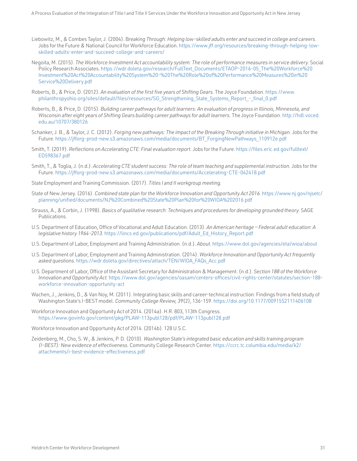- Liebowitz, M., & Combes Taylor, J. (2004). B*reaking Through: Helping low-skilled adults enter and succeed in college and careers.*  Jobs for the Future & National Council for Workforce Education. [https://www.jff.org/resources/breaking-through-helping-low](https://www.jff.org/resources/breaking-through-helping-low-skilled-adults-enter-and-succeed-college-and-careers/)[skilled-adults-enter-and-succeed-college-and-careers/](https://www.jff.org/resources/breaking-through-helping-low-skilled-adults-enter-and-succeed-college-and-careers/)
- Negoita, M. (2015). *The Workforce Investment Act accountability system: The role of performance measures in service delivery.* Social Policy Research Associates. [https://wdr.doleta.gov/research/FullText\\_Documents/ETAOP-2016-05\\_The%20Workforce%20](https://wdr.doleta.gov/research/FullText_Documents/ETAOP-2016-05_The%20Workforce%20Investment%20Act%20Accountability%20System%20-%20The%20Role%20of%20Performance%20Measures%20in%20Service%20Delivery.pdf) [Investment%20Act%20Accountability%20System%20-%20The%20Role%20of%20Performance%20Measures%20in%20](https://wdr.doleta.gov/research/FullText_Documents/ETAOP-2016-05_The%20Workforce%20Investment%20Act%20Accountability%20System%20-%20The%20Role%20of%20Performance%20Measures%20in%20Service%20Delivery.pdf) [Service%20Delivery.pdf](https://wdr.doleta.gov/research/FullText_Documents/ETAOP-2016-05_The%20Workforce%20Investment%20Act%20Accountability%20System%20-%20The%20Role%20of%20Performance%20Measures%20in%20Service%20Delivery.pdf)
- Roberts, B., & Price, D. (2012). *An evaluation of the first five years of Shifting Gears.* The Joyce Foundation. [https://www.](https://www.philanthropyohio.org/sites/default/files/resources/SG_Strengthening_State_Systems_Report_-_final_0.pdf) [philanthropyohio.org/sites/default/files/resources/SG\\_Strengthening\\_State\\_Systems\\_Report\\_-\\_final\\_0.pdf](https://www.philanthropyohio.org/sites/default/files/resources/SG_Strengthening_State_Systems_Report_-_final_0.pdf)
- Roberts, B., & Price, D. (2015). *Building career pathways for adult learners: An evaluation of progress in Illinois, Minnesota, and*  Wisconsin after eight years of Shifting Gears building career pathways for adult learners. The Joyce Foundation. [http://hdl.voced.](http://hdl.voced.edu.au/10707/380126) [edu.au/10707/380126](http://hdl.voced.edu.au/10707/380126)
- Schanker, J. B., & Taylor, J. C. (2012). *Forging new pathways: The impact of the Breaking Through initiative in Michigan*. Jobs for the Future. [https://jfforg-prod-new.s3.amazonaws.com/media/documents/BT\\_ForgingNewPathways\\_110912e.pdf](https://jfforg-prod-new.s3.amazonaws.com/media/documents/BT_ForgingNewPathways_110912e.pdf)
- Smith, T. (2019). *Reflections on Accelerating CTE: Final evaluation report.* Jobs for the Future. [https://files.eric.ed.gov/fulltext/](https://files.eric.ed.gov/fulltext/ED598367.pdf) [ED598367.pdf](https://files.eric.ed.gov/fulltext/ED598367.pdf)
- Smith, T., & Toglia, J. (n.d.). *Accelerating CTE student success: The role of team teaching and supplemental instruction.* Jobs for the Future. <https://jfforg-prod-new.s3.amazonaws.com/media/documents/Accelerating-CTE-042418.pdf>
- State Employment and Training Commission. (2017). *Titles I and II workgroup meeting.*
- State of New Jersey. (2016). *Combined state plan for the Workforce Innovation and Opportunity Act 2016.* [https://www.nj.gov/njsetc/](https://www.nj.gov/njsetc/planning/unified/documents/NJ%20Combined%20State%20Plan%20for%20WIOA%202016.pdf) [planning/unified/documents/NJ%20Combined%20State%20Plan%20for%20WIOA%202016.pdf](https://www.nj.gov/njsetc/planning/unified/documents/NJ%20Combined%20State%20Plan%20for%20WIOA%202016.pdf)
- Strauss, A., & Corbin, J. (1998). *Basics of qualitative research: Techniques and procedures for developing grounded theory.* SAGE Publications.
- U.S. Department of Education, Office of Vocational and Adult Education. (2013). *An American heritage Federal adult education: A legislative history 1964-2013.* [https://lincs.ed.gov/publications/pdf/Adult\\_Ed\\_History\\_Report.pdf](https://lincs.ed.gov/publications/pdf/Adult_Ed_History_Report.pdf)
- U.S. Department of Labor, Employment and Training Administration. (n.d.). *About.* <https://www.dol.gov/agencies/eta/wioa/about>
- U.S. Department of Labor, Employment and Training Administration. (2014). *Workforce Innovation and Opportunity Act frequently asked questions.* [https://wdr.doleta.gov/directives/attach/TEN/WIOA\\_FAQs\\_Acc.pdf](https://wdr.doleta.gov/directives/attach/TEN/WIOA_FAQs_Acc.pdf)
- U.S. Department of Labor, Office of the Assistant Secretary for Administration & Management. (n.d.). *Section 188 of the Workforce Innovation and Opportunity Act.* [https://www.dol.gov/agencies/oasam/centers-offices/civil-rights-center/statutes/section-188](https://www.dol.gov/agencies/oasam/centers-offices/civil-rights-center/statutes/section-188-workforce-innovation-opportunity-act) [workforce-innovation-opportunity-act](https://www.dol.gov/agencies/oasam/centers-offices/civil-rights-center/statutes/section-188-workforce-innovation-opportunity-act)
- Wachen, J., Jenkins, D., & Van Noy, M. (2011). Integrating basic skills and career-technical instruction: Findings from a field study of Washington State's I-BEST model. *Community College Review, 39*(2), 136-159.<https://doi.org/10.1177/0091552111406108>
- Workforce Innovation and Opportunity Act of 2014. (2014a). H.R. 803, 113th Congress. <https://www.govinfo.gov/content/pkg/PLAW-113publ128/pdf/PLAW-113publ128.pdf>
- Workforce Innovation and Opportunity Act of 2014. (2014b). 128 U.S.C.
- Zeidenberg, M., Cho, S. W., & Jenkins, P. D. (2010). *Washington State's integrated basic education and skills training program (I-BEST): New evidence of effectiveness.* Community College Research Center. [https://ccrc.tc.columbia.edu/media/k2/](https://ccrc.tc.columbia.edu/media/k2/attachments/i-best-evidence-effectiveness.pdf) [attachments/i-best-evidence-effectiveness.pdf](https://ccrc.tc.columbia.edu/media/k2/attachments/i-best-evidence-effectiveness.pdf)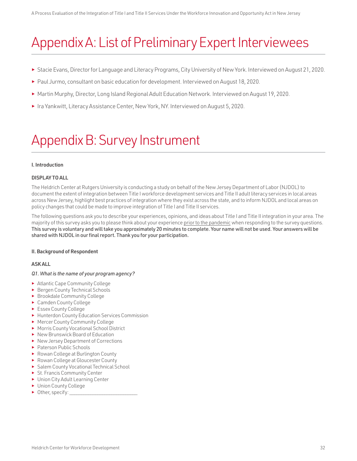# <span id="page-33-0"></span>Appendix A: List of Preliminary Expert Interviewees

- ► Stacie Evans, Director for Language and Literacy Programs, City University of New York. Interviewed on August 21, 2020.
- ► Paul Jurmo, consultant on basic education for development. Interviewed on August 18, 2020.
- ► Martin Murphy, Director, Long Island Regional Adult Education Network. Interviewed on August 19, 2020.
- ► Ira Yankwitt, Literacy Assistance Center, New York, NY. Interviewed on August 5, 2020.

# Appendix B: Survey Instrument

## I. Introduction

## DISPLAY TO ALL

The Heldrich Center at Rutgers University is conducting a study on behalf of the New Jersey Department of Labor (NJDOL) to document the extent of integration between Title I workforce development services and Title II adult literacy services in local areas across New Jersey, highlight best practices of integration where they exist across the state, and to inform NJDOL and local areas on policy changes that could be made to improve integration of Title I and Title II services.

The following questions ask you to describe your experiences, opinions, and ideas about Title I and Title II integration in your area. The majority of this survey asks you to please think about your experience prior to the pandemic when responding to the survey questions. This survey is voluntary and will take you approximately 20 minutes to complete. Your name will not be used. Your answers will be shared with NJDOL in our final report. Thank you for your participation.

## II. Background of Respondent

## ASK ALL

## *Q1. What is the name of your program agency?*

- ► Atlantic Cape Community College
- ► Bergen County Technical Schools
- ► Brookdale Community College
- ► Camden County College
- ► Essex County College
- ► Hunterdon County Education Services Commission
- ► Mercer County Community College
- ► Morris County Vocational School District
- ► New Brunswick Board of Education
- ► New Jersey Department of Corrections
- ► Paterson Public Schools
- ► Rowan College at Burlington County
- ► Rowan College at Gloucester County
- ► Salem County Vocational Technical School
- ► St. Francis Community Center
- ► Union City Adult Learning Center
- ► Union County College
- ► Other, specify: \_\_\_\_\_\_\_\_\_\_\_\_\_\_\_\_\_\_\_\_\_\_\_\_\_\_\_\_\_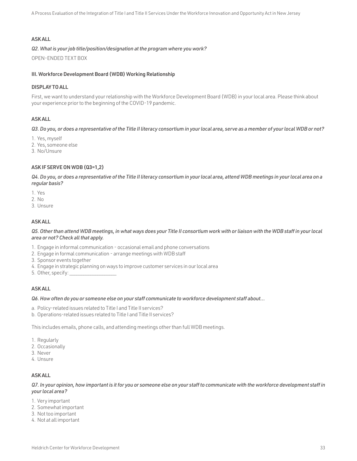## ASK ALL

#### *Q2. What is your job title/position/designation at the program where you work?*

OPEN-ENDED TEXT BOX

#### III. Workforce Development Board (WDB) Working Relationship

#### DISPLAY TO ALL

First, we want to understand your relationship with the Workforce Development Board (WDB) in your local area. Please think about your experience prior to the beginning of the COVID-19 pandemic.

## ASK ALL

*Q3. Do you, or does a representative of the Title II literacy consortium in your local area, serve as a member of your local WDB or not?*

- 1. Yes, myself
- 2. Yes, someone else
- 3. No/Unsure

## ASK IF SERVE ON WDB (Q3=1,2)

*Q4. Do you, or does a representative of the Title II literacy consortium in your local area, attend WDB meetings in your local area on a regular basis?*

- 1. Yes
- 2. No
- 3. Unsure

## ASK ALL

*Q5. Other than attend WDB meetings, in what ways does your Title II consortium work with or liaison with the WDB staff in your local area or not? Check all that apply.*

- 1. Engage in informal communication occasional email and phone conversations
- 2. Engage in formal communication arrange meetings with WDB staff
- 3. Sponsor events together
- 4. Engage in strategic planning on ways to improve customer services in our local area
- 5. Other, specify:

### ASK ALL

#### *Q6. How often do you or someone else on your staff communicate to workforce development staff about…*

- a. Policy-related issues related to Title I and Title II services?
- b. Operations-related issues related to Title I and Title II services?

This includes emails, phone calls, and attending meetings other than full WDB meetings.

- 1. Regularly
- 2. Occasionally
- 3. Never
- 4. Unsure

#### ASK ALL

*Q7. In your opinion, how important is it for you or someone else on your staff to communicate with the workforce development staff in your local area?*

- 1. Very important
- 2. Somewhat important
- 3. Not too important
- 4. Not at all important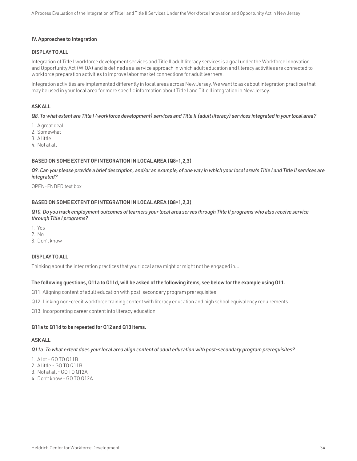### IV. Approaches to Integration

## DISPLAY TO ALL

Integration of Title I workforce development services and Title II adult literacy services is a goal under the Workforce Innovation and Opportunity Act (WIOA) and is defined as a service approach in which adult education and literacy activities are connected to workforce preparation activities to improve labor market connections for adult learners.

Integration activities are implemented differently in local areas across New Jersey. We want to ask about integration practices that may be used in your local area for more specific information about Title I and Title II integration in New Jersey.

## ASK ALL

*Q8. To what extent are Title I (workforce development) services and Title II (adult literacy) services integrated in your local area?*

- 1. A great deal
- 2. Somewhat
- 3. A little
- 4. Not at all

### BASED ON SOME EXTENT OF INTEGRATION IN LOCAL AREA (Q8=1,2,3)

*Q9. Can you please provide a brief description, and/or an example, of one way in which your local area's Title I and Title II services are integrated?*

OPEN-ENDED text box

## BASED ON SOME EXTENT OF INTEGRATION IN LOCAL AREA (Q8=1,2,3)

*Q10. Do you track employment outcomes of learners your local area serves through Title II programs who also receive service through Title I programs?*

- 1. Yes
- 2. No
- 3. Don't know

## DISPLAY TO ALL

Thinking about the integration practices that your local area might or might not be engaged in…

### The following questions, Q11a to Q11d, will be asked of the following items, see below for the example using Q11.

Q11. Aligning content of adult education with post-secondary program prerequisites.

Q12. Linking non-credit workforce training content with literacy education and high school equivalency requirements.

Q13. Incorporating career content into literacy education.

#### Q11a to Q11d to be repeated for Q12 and Q13 items.

## ASK ALL

#### *Q11a. To what extent does your local area align content of adult education with post-secondary program prerequisites?*

1. A lot - GO TO Q11B

- 2. A little GO TO Q11B
- 3. Not at all GO TO Q12A
- 4. Don't know GO TO Q12A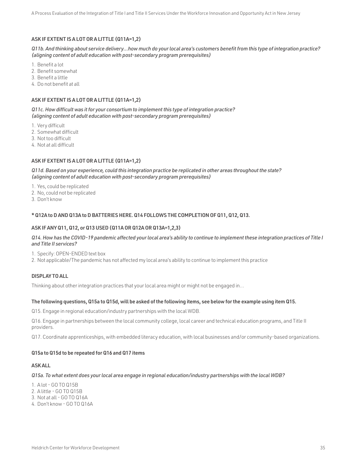## ASK IF EXTENT IS A LOT OR A LITTLE (Q11A=1,2)

*Q11b. And thinking about service delivery…how much do your local area's customers benefit from this type of integration practice? (aligning content of adult education with post-secondary program prerequisites)*

- 1. Benefit a lot
- 2. Benefit somewhat
- 3. Benefit a little
- 4. Do not benefit at all

## ASK IF EXTENT IS A LOT OR A LITTLE (Q11A=1,2)

*Q11c. How difficult was it for your consortium to implement this type of integration practice? (aligning content of adult education with post-secondary program prerequisites)*

- 1. Very difficult
- 2. Somewhat difficult
- 3. Not too difficult
- 4. Not at all difficult

## ASK IF EXTENT IS A LOT OR A LITTLE (Q11A=1,2)

*Q11d. Based on your experience, could this integration practice be replicated in other areas throughout the state? (aligning content of adult education with post-secondary program prerequisites)*

- 1. Yes, could be replicated
- 2. No, could not be replicated
- 3. Don't know

## \* Q12A to D AND Q13A to D BATTERIES HERE. Q14 FOLLOWS THE COMPLETION OF Q11, Q12, Q13.

## ASK IF ANY Q11, Q12, or Q13 USED (Q11A OR Q12A OR Q13A=1,2,3)

#### *Q14. How has the COVID-19 pandemic affected your local area's ability to continue to implement these integration practices of Title I and Title II services?*

1. Specify: OPEN-ENDED text box

2. Not applicable/The pandemic has not affected my local area's ability to continue to implement this practice

## DISPLAY TO ALL

Thinking about other integration practices that your local area might or might not be engaged in…

#### The following questions, Q15a to Q15d, will be asked of the following items, see below for the example using item Q15.

Q15. Engage in regional education/industry partnerships with the local WDB.

Q16. Engage in partnerships between the local community college, local career and technical education programs, and Title II providers.

Q17. Coordinate apprenticeships, with embedded literacy education, with local businesses and/or community-based organizations.

### Q15a to Q15d to be repeated for Q16 and Q17 items

### ASK ALL

#### *Q15a. To what extent does your local area engage in regional education/industry partnerships with the local WDB?*

- 1. A lot GO TO Q15B
- 2. A little GO TO Q15B
- 3. Not at all GO TO Q16A
- 4. Don't know GO TO Q16A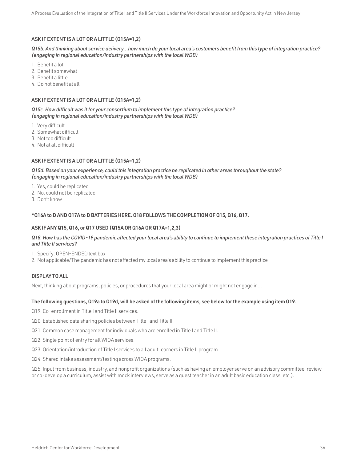## ASK IF EXTENT IS A LOT OR A LITTLE (Q15A=1,2)

*Q15b. And thinking about service delivery…how much do your local area's customers benefit from this type of integration practice? (engaging in regional education/industry partnerships with the local WDB)*

- 1. Benefit a lot
- 2. Benefit somewhat
- 3. Benefit a little
- 4. Do not benefit at all

## ASK IF EXTENT IS A LOT OR A LITTLE (Q15A=1,2)

*Q15c. How difficult was it for your consortium to implement this type of integration practice? (engaging in regional education/industry partnerships with the local WDB)*

- 1. Very difficult
- 2. Somewhat difficult
- 3. Not too difficult
- 4. Not at all difficult

## ASK IF EXTENT IS A LOT OR A LITTLE (Q15A=1,2)

*Q15d. Based on your experience, could this integration practice be replicated in other areas throughout the state? (engaging in regional education/industry partnerships with the local WDB)*

- 1. Yes, could be replicated
- 2. No, could not be replicated
- 3. Don't know

### \*Q16A to D AND Q17A to D BATTERIES HERE. Q18 FOLLOWS THE COMPLETION OF Q15, Q16, Q17.

## ASK IF ANY Q15, Q16, or Q17 USED (Q15A OR Q16A OR Q17A=1,2,3)

#### *Q18. How has the COVID-19 pandemic affected your local area's ability to continue to implement these integration practices of Title I and Title II services?*

1. Specify: OPEN-ENDED text box

2. Not applicable/The pandemic has not affected my local area's ability to continue to implement this practice

# DISPLAY TO ALL

Next, thinking about programs, policies, or procedures that your local area might or might not engage in…

#### The following questions, Q19a to Q19d, will be asked of the following items, see below for the example using item Q19.

- Q19. Co-enrollment in Title I and Title II services.
- Q20. Established data sharing policies between Title I and Title II.
- Q21. Common case management for individuals who are enrolled in Title I and Title II.
- Q22. Single point of entry for all WIOA services.
- Q23. Orientation/introduction of Title I services to all adult learners in Title II program.
- Q24. Shared intake assessment/testing across WIOA programs.

Q25. Input from business, industry, and nonprofit organizations (such as having an employer serve on an advisory committee, review or co-develop a curriculum, assist with mock interviews, serve as a guest teacher in an adult basic education class, etc.).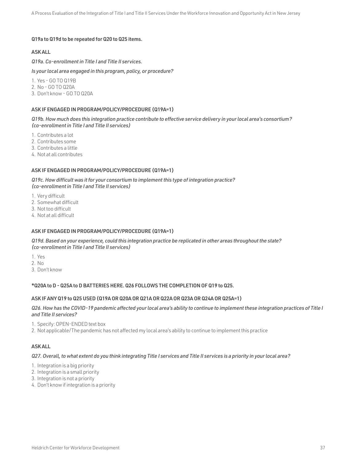## Q19a to Q19d to be repeated for Q20 to Q25 items.

### ASK ALL

*Q19a. Co-enrollment in Title I and Title II services.*

*Is your local area engaged in this program, policy, or procedure?*

1. Yes - GO TO Q19B

- 2. No GO TO Q20A
- 3. Don't know GO TO Q20A

### ASK IF ENGAGED IN PROGRAM/POLICY/PROCEDURE (Q19A=1)

*Q19b. How much does this integration practice contribute to effective service delivery in your local area's consortium? (co-enrollment in Title I and Title II services)*

- 1. Contributes a lot
- 2. Contributes some
- 3. Contributes a little
- 4. Not at all contributes

#### ASK IF ENGAGED IN PROGRAM/POLICY/PROCEDURE (Q19A=1)

*Q19c. How difficult was it for your consortium to implement this type of integration practice? (co-enrollment in Title I and Title II services)*

- 1. Very difficult
- 2. Somewhat difficult
- 3. Not too difficult
- 4. Not at all difficult

### ASK IF ENGAGED IN PROGRAM/POLICY/PROCEDURE (Q19A=1)

*Q19d. Based on your experience, could this integration practice be replicated in other areas throughout the state? (co-enrollment in Title I and Title II services)*

- 1. Yes
- 2. No
- 3. Don't know

## \*Q20A to D - Q25A to D BATTERIES HERE. Q26 FOLLOWS THE COMPLETION OF Q19 to Q25.

## ASK IF ANY Q19 to Q25 USED (Q19A OR Q20A OR Q21A OR Q22A OR Q23A OR Q24A OR Q25A=1)

## *Q26. How has the COVID-19 pandemic affected your local area's ability to continue to implement these integration practices of Title I and Title II services?*

- 1. Specify: OPEN-ENDED text box
- 2. Not applicable/The pandemic has not affected my local area's ability to continue to implement this practice

## ASK ALL

## *Q27. Overall, to what extent do you think integrating Title I services and Title II services is a priority in your local area?*

- 1. Integration is a big priority
- 2. Integration is a small priority
- 3. Integration is not a priority
- 4. Don't know if integration is a priority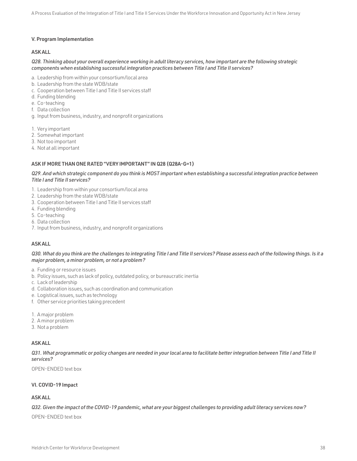### V. Program Implementation

### ASK ALL

#### *Q28. Thinking about your overall experience working in adult literacy services, how important are the following strategic components when establishing successful integration practices between Title I and Title II services?*

- a. Leadership from within your consortium/local area
- b. Leadership from the state WDB/state
- c. Cooperation between Title I and Title II services staff
- d. Funding blending
- e. Co-teaching
- f. Data collection
- g. Input from business, industry, and nonprofit organizations
- 1. Very important
- 2. Somewhat important
- 3. Not too important
- 4. Not at all important

#### ASK IF MORE THAN ONE RATED "VERY IMPORTANT" IN Q28 (Q28A-G=1)

### *Q29. And which strategic component do you think is MOST important when establishing a successful integration practice between Title I and Title II services?*

- 1. Leadership from within your consortium/local area
- 2. Leadership from the state WDB/state
- 3. Cooperation between Title I and Title II services staff
- 4. Funding blending
- 5. Co-teaching
- 6. Data collection
- 7. Input from business, industry, and nonprofit organizations

#### ASK ALL

#### *Q30. What do you think are the challenges to integrating Title I and Title II services? Please assess each of the following things. Is it a major problem, a minor problem, or not a problem?*

- a. Funding or resource issues
- b. Policy issues, such as lack of policy, outdated policy, or bureaucratic inertia
- c. Lack of leadership
- d. Collaboration issues, such as coordination and communication
- e. Logistical issues, such as technology
- f. Other service priorities taking precedent
- 1. A major problem
- 2. A minor problem
- 3. Not a problem

#### ASK ALL

*Q31. What programmatic or policy changes are needed in your local area to facilitate better integration between Title I and Title II services?*

OPEN-ENDED text box

#### VI. COVID-19 Impact

## ASK ALL

## *Q32. Given the impact of the COVID-19 pandemic, what are your biggest challenges to providing adult literacy services now?*

OPEN-ENDED text box